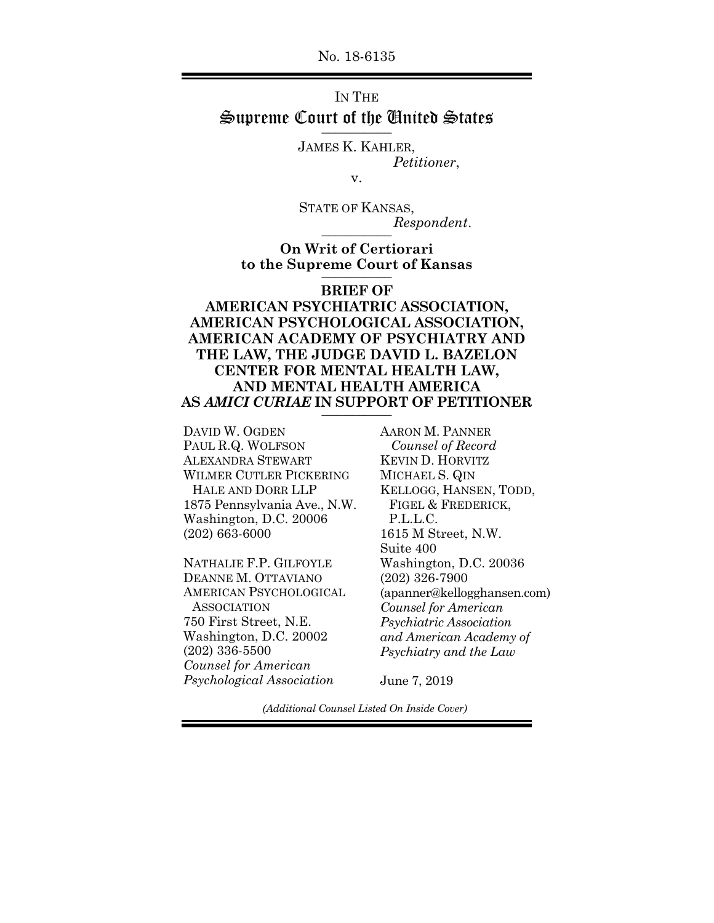No. 18-6135

## IN THE Supreme Court of the United States

JAMES K. KAHLER, *Petitioner*,

v.

STATE OF KANSAS,  $Respondent.$ 

**On Writ of Certiorari to the Supreme Court of Kansas** \_\_\_\_\_\_\_\_\_\_

## **BRIEF OF**

**AMERICAN PSYCHIATRIC ASSOCIATION, AMERICAN PSYCHOLOGICAL ASSOCIATION, AMERICAN ACADEMY OF PSYCHIATRY AND THE LAW, THE JUDGE DAVID L. BAZELON CENTER FOR MENTAL HEALTH LAW, AND MENTAL HEALTH AMERICA AS** *AMICI CURIAE* **IN SUPPORT OF PETITIONER** \_\_\_\_\_\_\_\_\_\_

DAVID W. OGDEN PAUL R.Q. WOLFSON ALEXANDRA STEWART WILMER CUTLER PICKERING HALE AND DORR LLP 1875 Pennsylvania Ave., N.W. Washington, D.C. 20006 (202) 663-6000

NATHALIE F.P. GILFOYLE DEANNE M. OTTAVIANO AMERICAN PSYCHOLOGICAL **ASSOCIATION** 750 First Street, N.E. Washington, D.C. 20002 (202) 336-5500 *Counsel for American Psychological Association*

AARON M. PANNER  *Counsel of Record*  KEVIN D. HORVITZ MICHAEL S. QIN KELLOGG, HANSEN, TODD, FIGEL & FREDERICK, P.L.L.C. 1615 M Street, N.W. Suite 400 Washington, D.C. 20036 (202) 326-7900 (apanner@kellogghansen.com) *Counsel for American Psychiatric Association and American Academy of Psychiatry and the Law*

June 7, 2019

*(Additional Counsel Listed On Inside Cover)*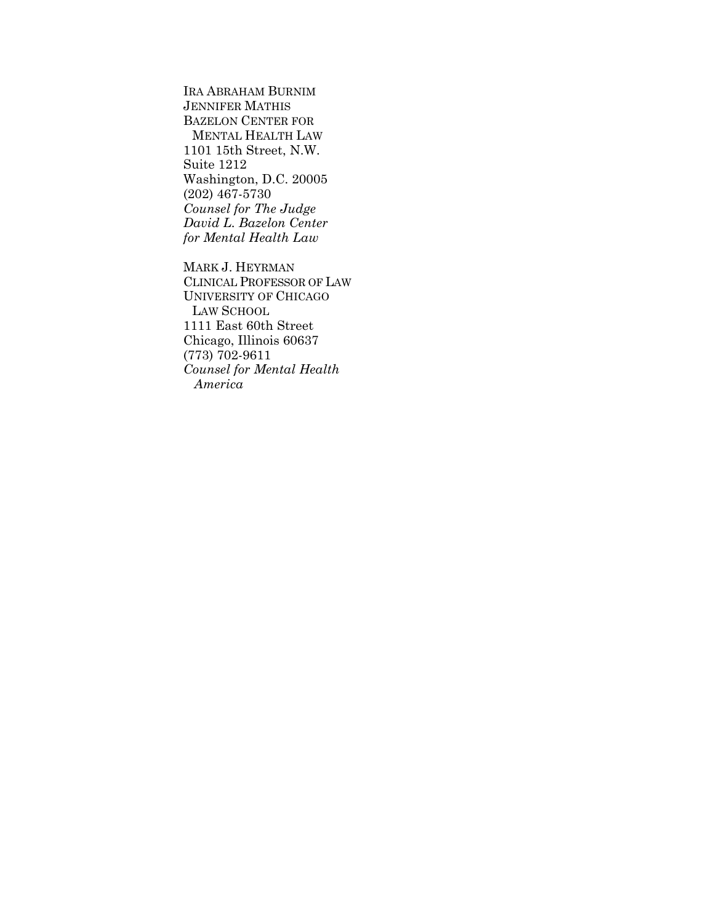IRA ABRAHAM BURNIM JENNIFER MATHIS BAZELON CENTER FOR MENTAL HEALTH LAW 1101 15th Street, N.W. Suite 1212 Washington, D.C. 20005 (202) 467-5730 *Counsel for The Judge David L. Bazelon Center for Mental Health Law* 

MARK J. HEYRMAN CLINICAL PROFESSOR OF LAW UNIVERSITY OF CHICAGO LAW SCHOOL 1111 East 60th Street Chicago, Illinois 60637 (773) 702-9611 *Counsel for Mental Health America*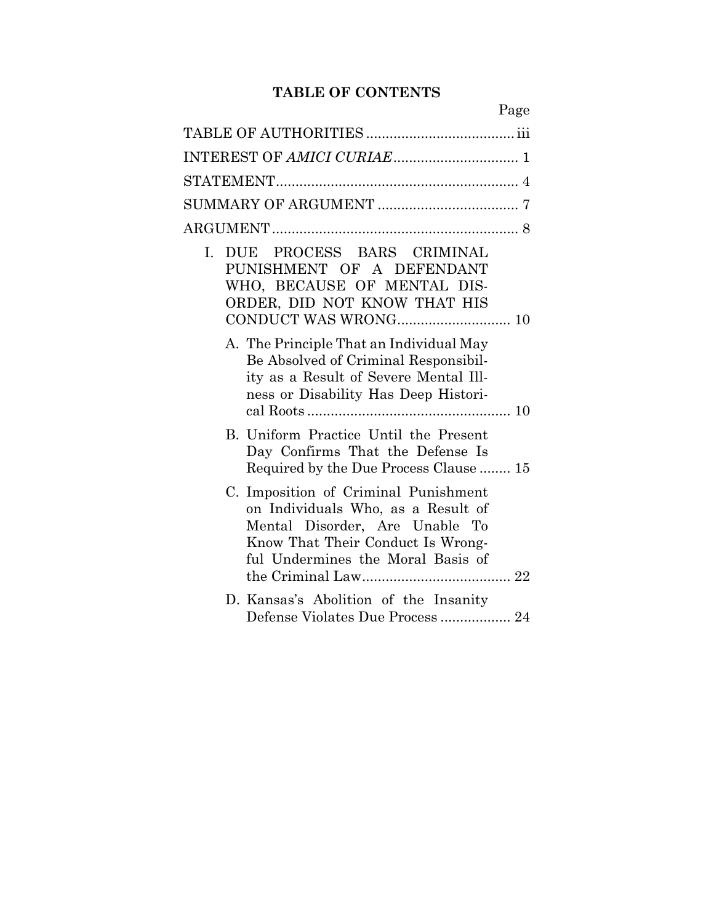## **TABLE OF CONTENTS**

| Page                                                                                                                                                                                   |
|----------------------------------------------------------------------------------------------------------------------------------------------------------------------------------------|
|                                                                                                                                                                                        |
|                                                                                                                                                                                        |
|                                                                                                                                                                                        |
|                                                                                                                                                                                        |
|                                                                                                                                                                                        |
| DUE PROCESS BARS CRIMINAL<br>L.<br>PUNISHMENT OF A DEFENDANT<br>WHO, BECAUSE OF MENTAL DIS-<br>ORDER, DID NOT KNOW THAT HIS                                                            |
| A. The Principle That an Individual May<br>Be Absolved of Criminal Responsibil-<br>ity as a Result of Severe Mental Ill-<br>ness or Disability Has Deep Histori-                       |
| B. Uniform Practice Until the Present<br>Day Confirms That the Defense Is<br>Required by the Due Process Clause  15                                                                    |
| C. Imposition of Criminal Punishment<br>on Individuals Who, as a Result of<br>Mental Disorder, Are Unable To<br>Know That Their Conduct Is Wrong-<br>ful Undermines the Moral Basis of |
| D. Kansas's Abolition of the Insanity                                                                                                                                                  |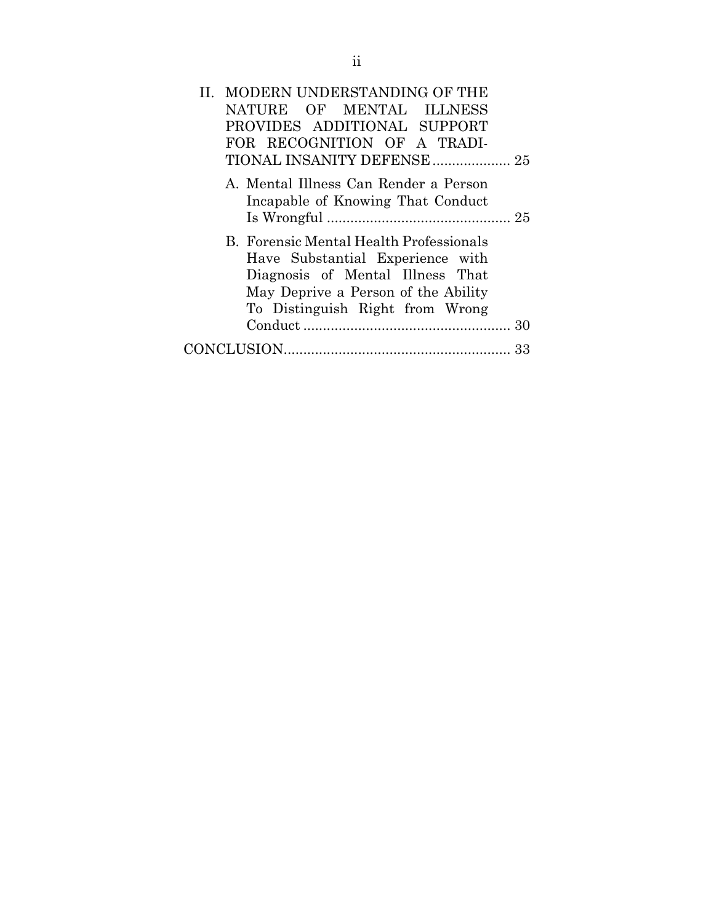| II. MODERN UNDERSTANDING OF THE                                                                                                                                                           |
|-------------------------------------------------------------------------------------------------------------------------------------------------------------------------------------------|
| NATURE OF MENTAL ILLNESS                                                                                                                                                                  |
| PROVIDES ADDITIONAL SUPPORT                                                                                                                                                               |
| FOR RECOGNITION OF A TRADI-                                                                                                                                                               |
|                                                                                                                                                                                           |
| A. Mental Illness Can Render a Person<br>Incapable of Knowing That Conduct                                                                                                                |
| B. Forensic Mental Health Professionals<br>Have Substantial Experience with<br>Diagnosis of Mental Illness That<br>May Deprive a Person of the Ability<br>To Distinguish Right from Wrong |
|                                                                                                                                                                                           |
| 33                                                                                                                                                                                        |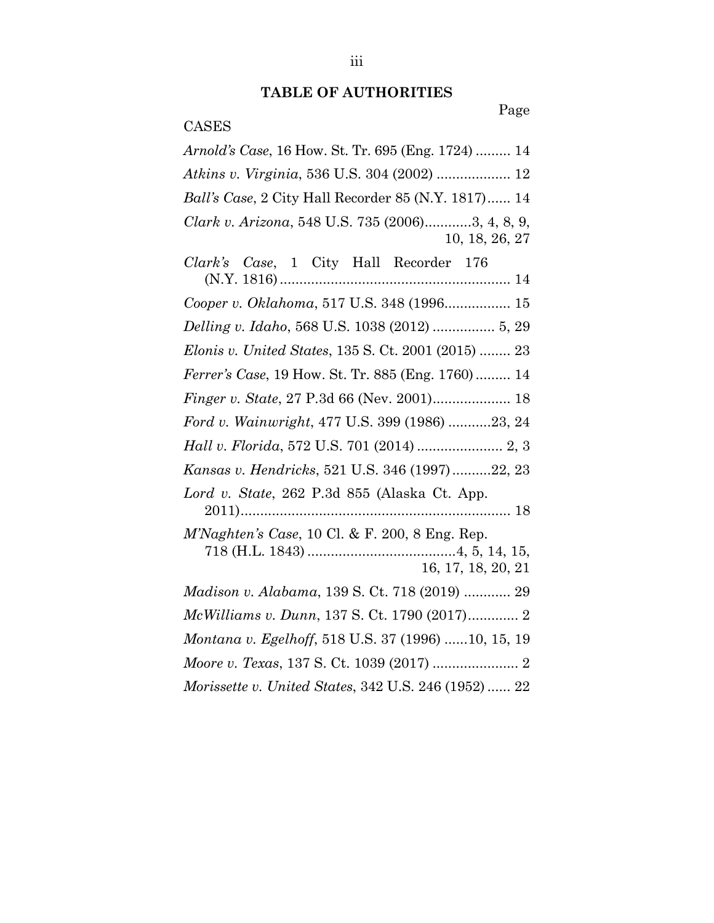# **TABLE OF AUTHORITIES**

# Page

# CASES

| Arnold's Case, 16 How. St. Tr. 695 (Eng. 1724)  14                 |
|--------------------------------------------------------------------|
| Atkins v. Virginia, 536 U.S. 304 (2002)  12                        |
| <i>Ball's Case, 2 City Hall Recorder 85 (N.Y. 1817) 14</i>         |
| Clark v. Arizona, 548 U.S. 735 (2006)3, 4, 8, 9,<br>10, 18, 26, 27 |
| Clark's Case, 1 City Hall Recorder 176                             |
| Cooper v. Oklahoma, 517 U.S. 348 (1996 15                          |
| Delling v. Idaho, 568 U.S. 1038 (2012)  5, 29                      |
| <i>Elonis v. United States, 135 S. Ct. 2001 (2015)  23</i>         |
| <i>Ferrer's Case</i> , 19 How. St. Tr. 885 (Eng. 1760) 14          |
|                                                                    |
| Ford v. Wainwright, 477 U.S. 399 (1986) 23, 24                     |
|                                                                    |
| Kansas v. Hendricks, 521 U.S. 346 (1997)22, 23                     |
| Lord v. State, 262 P.3d 855 (Alaska Ct. App.                       |
| $M'Nghten's Case, 10 \text{ Cl.} \& F. 200, 8 \text{ Eng. Rep.}$   |
| 16, 17, 18, 20, 21                                                 |
| Madison v. Alabama, 139 S. Ct. 718 (2019)  29                      |
|                                                                    |
| Montana v. Egelhoff, 518 U.S. 37 (1996) 10, 15, 19                 |
|                                                                    |
| Morissette v. United States, 342 U.S. 246 (1952)  22               |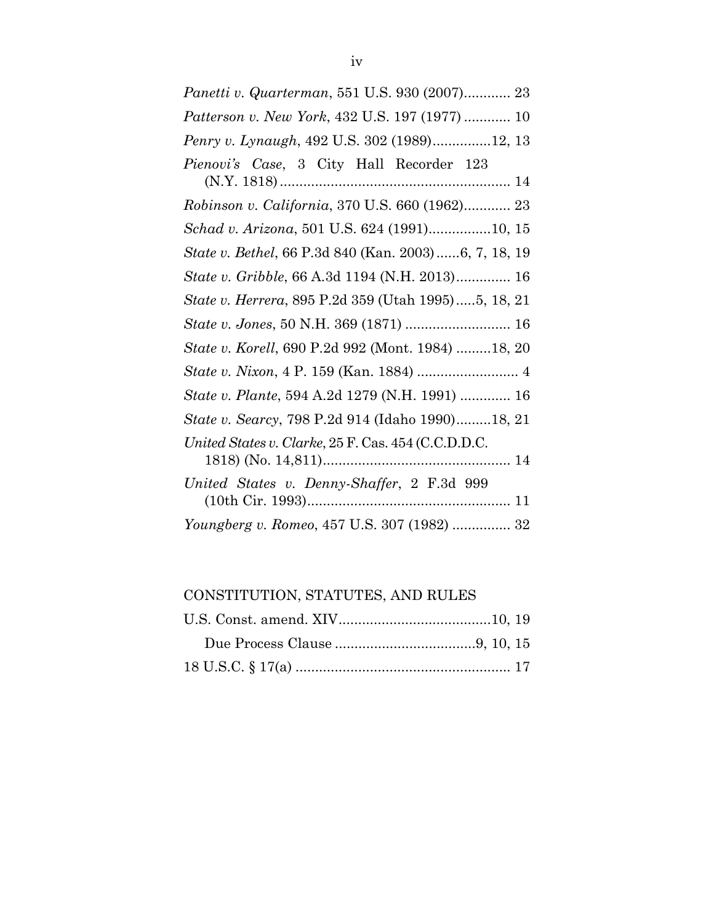| Panetti v. Quarterman, 551 U.S. 930 (2007) 23        |
|------------------------------------------------------|
| Patterson v. New York, 432 U.S. 197 (1977)  10       |
| Penry v. Lynaugh, 492 U.S. 302 (1989)12, 13          |
| Pienovi's Case, 3 City Hall Recorder 123             |
| Robinson v. California, 370 U.S. 660 (1962) 23       |
| Schad v. Arizona, 501 U.S. 624 (1991)10, 15          |
| State v. Bethel, 66 P.3d 840 (Kan. 2003)6, 7, 18, 19 |
| State v. Gribble, 66 A.3d 1194 (N.H. 2013) 16        |
| State v. Herrera, 895 P.2d 359 (Utah 1995)5, 18, 21  |
| State v. Jones, 50 N.H. 369 (1871)  16               |
| State v. Korell, 690 P.2d 992 (Mont. 1984) 18, 20    |
|                                                      |
| State v. Plante, 594 A.2d 1279 (N.H. 1991)  16       |
| State v. Searcy, 798 P.2d 914 (Idaho 1990)18, 21     |
| United States v. Clarke, 25 F. Cas. 454 (C.C.D.D.C.  |
| United States v. Denny-Shaffer, 2 F.3d 999           |
| Youngberg v. Romeo, 457 U.S. 307 (1982)  32          |

CONSTITUTION, STATUTES, AND RULES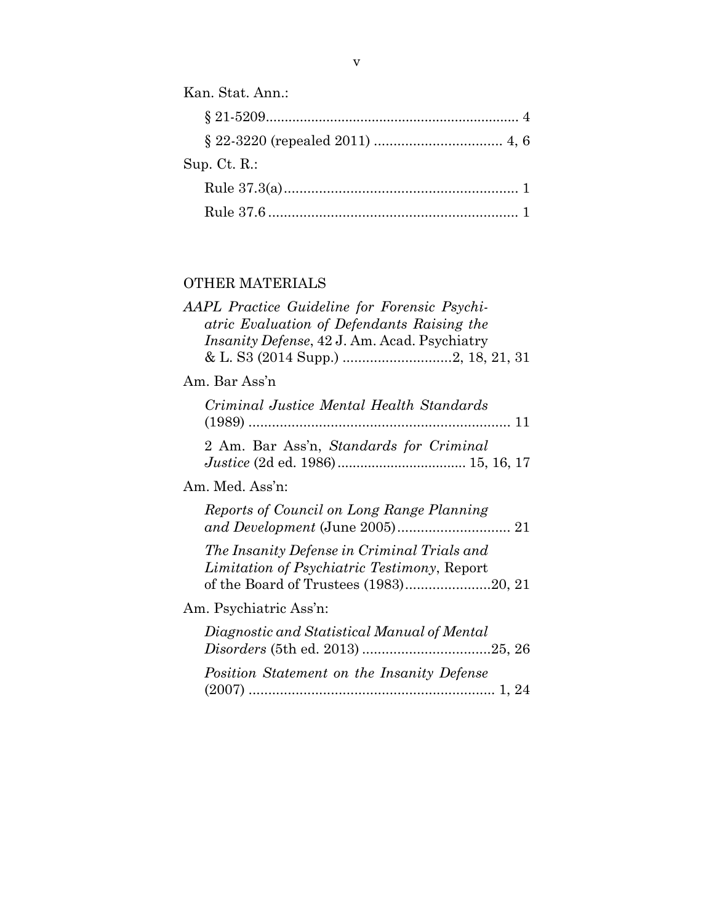| Kan. Stat. Ann.: |
|------------------|
|                  |
|                  |
| Sup. $Ct. R$ .:  |
|                  |
|                  |
|                  |

# OTHER MATERIALS

| AAPL Practice Guideline for Forensic Psychi-<br>atric Evaluation of Defendants Raising the<br>Insanity Defense, 42 J. Am. Acad. Psychiatry |
|--------------------------------------------------------------------------------------------------------------------------------------------|
| Am. Bar Ass'n                                                                                                                              |
| Criminal Justice Mental Health Standards                                                                                                   |
| 2 Am. Bar Ass'n, Standards for Criminal                                                                                                    |
| Am. Med. Ass'n:                                                                                                                            |
| Reports of Council on Long Range Planning                                                                                                  |
| The Insanity Defense in Criminal Trials and<br>Limitation of Psychiatric Testimony, Report<br>of the Board of Trustees (1983)20, 21        |
| Am. Psychiatric Ass'n:                                                                                                                     |
| Diagnostic and Statistical Manual of Mental                                                                                                |
| Position Statement on the Insanity Defense                                                                                                 |
|                                                                                                                                            |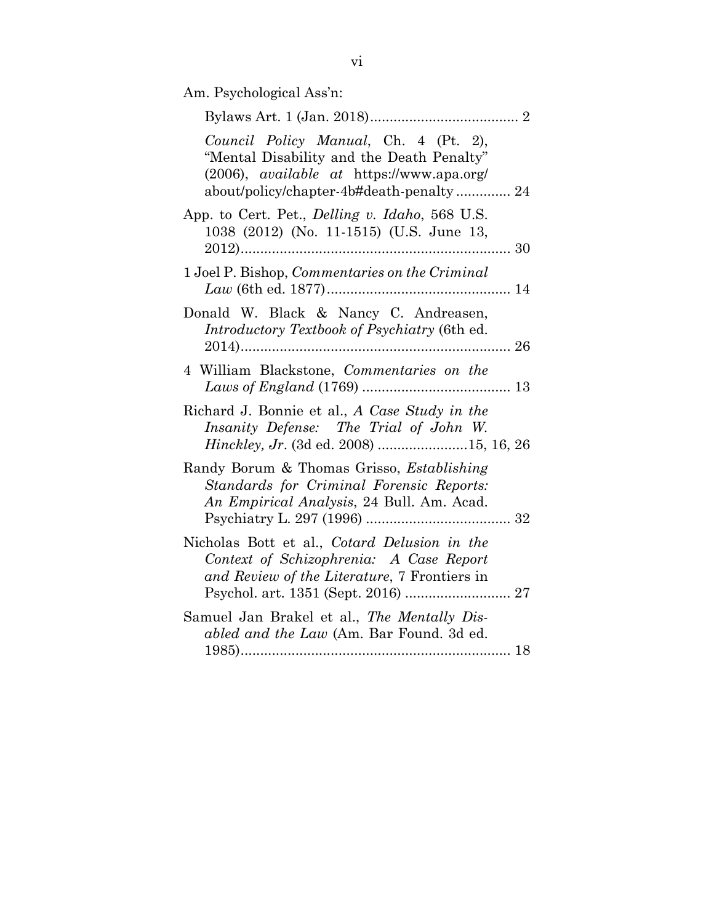Am. Psychological Ass'n:

| Council Policy Manual, Ch. 4 (Pt. 2),<br>"Mental Disability and the Death Penalty"<br>$(2006)$ , <i>available at</i> https://www.apa.org/<br>about/policy/chapter-4b#death-penalty 24 |
|---------------------------------------------------------------------------------------------------------------------------------------------------------------------------------------|
| App. to Cert. Pet., <i>Delling v. Idaho</i> , 568 U.S.<br>1038 (2012) (No. 11-1515) (U.S. June 13,                                                                                    |
| 1 Joel P. Bishop, Commentaries on the Criminal                                                                                                                                        |
| Donald W. Black & Nancy C. Andreasen,<br>Introductory Textbook of Psychiatry (6th ed.                                                                                                 |
| 4 William Blackstone, Commentaries on the                                                                                                                                             |
| Richard J. Bonnie et al., A Case Study in the<br>Insanity Defense: The Trial of John W.<br>Hinckley, Jr. (3d ed. 2008) 15, 16, 26                                                     |
| Randy Borum & Thomas Grisso, <i>Establishing</i><br>Standards for Criminal Forensic Reports:<br>An Empirical Analysis, 24 Bull. Am. Acad.                                             |
| Nicholas Bott et al., Cotard Delusion in the<br>Context of Schizophrenia: A Case Report<br>and Review of the Literature, 7 Frontiers in                                               |
| Samuel Jan Brakel et al., The Mentally Dis-<br>abled and the Law (Am. Bar Found. 3d ed.                                                                                               |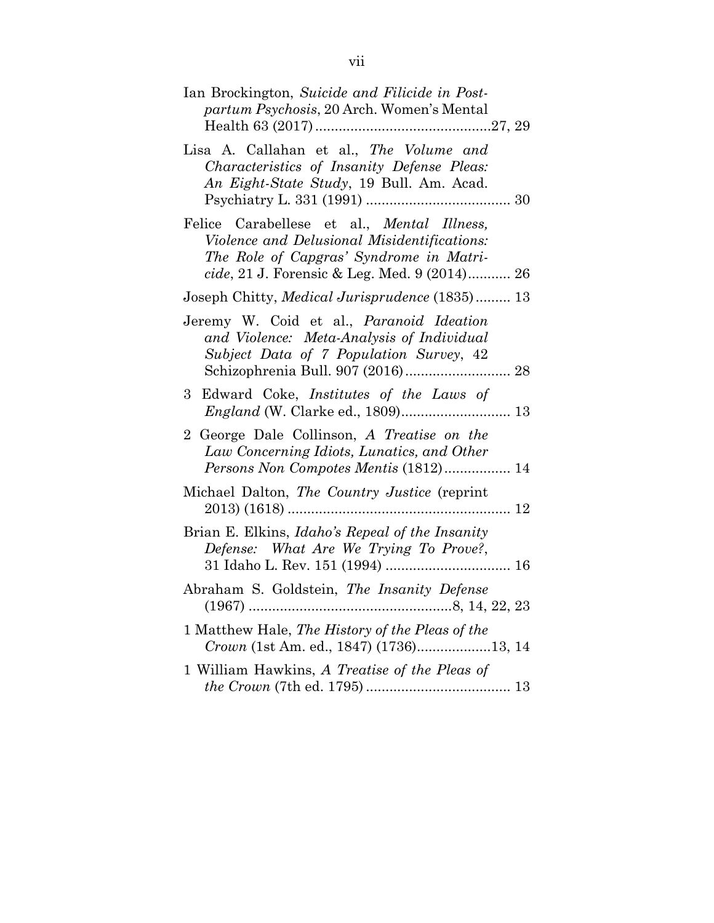| Ian Brockington, Suicide and Filicide in Post-<br>partum Psychosis, 20 Arch. Women's Mental                                                                                                            |
|--------------------------------------------------------------------------------------------------------------------------------------------------------------------------------------------------------|
| Lisa A. Callahan et al., The Volume and<br>Characteristics of Insanity Defense Pleas:<br>An Eight-State Study, 19 Bull. Am. Acad.                                                                      |
| Felice Carabellese et al., <i>Mental Illness</i> ,<br>Violence and Delusional Misidentifications:<br>The Role of Capgras' Syndrome in Matri-<br><i>cide</i> , 21 J. Forensic & Leg. Med. 9 $(2014)$ 26 |
| Joseph Chitty, Medical Jurisprudence (1835) 13                                                                                                                                                         |
| Jeremy W. Coid et al., Paranoid Ideation<br>and Violence: Meta-Analysis of Individual<br>Subject Data of 7 Population Survey, 42                                                                       |
| Edward Coke, <i>Institutes</i> of the Laws of<br>3                                                                                                                                                     |
| 2 George Dale Collinson, A Treatise on the<br>Law Concerning Idiots, Lunatics, and Other<br>Persons Non Compotes Mentis (1812) 14                                                                      |
| Michael Dalton, The Country Justice (reprint<br>$2013)$ (1618)                                                                                                                                         |
| Brian E. Elkins, <i>Idaho's Repeal of the Insanity</i><br>Defense: What Are We Trying To Prove?,                                                                                                       |
| Abraham S. Goldstein, The Insanity Defense                                                                                                                                                             |
| 1 Matthew Hale, The History of the Pleas of the<br>Crown (1st Am. ed., 1847) (1736)13, 14                                                                                                              |
| 1 William Hawkins, A Treatise of the Pleas of                                                                                                                                                          |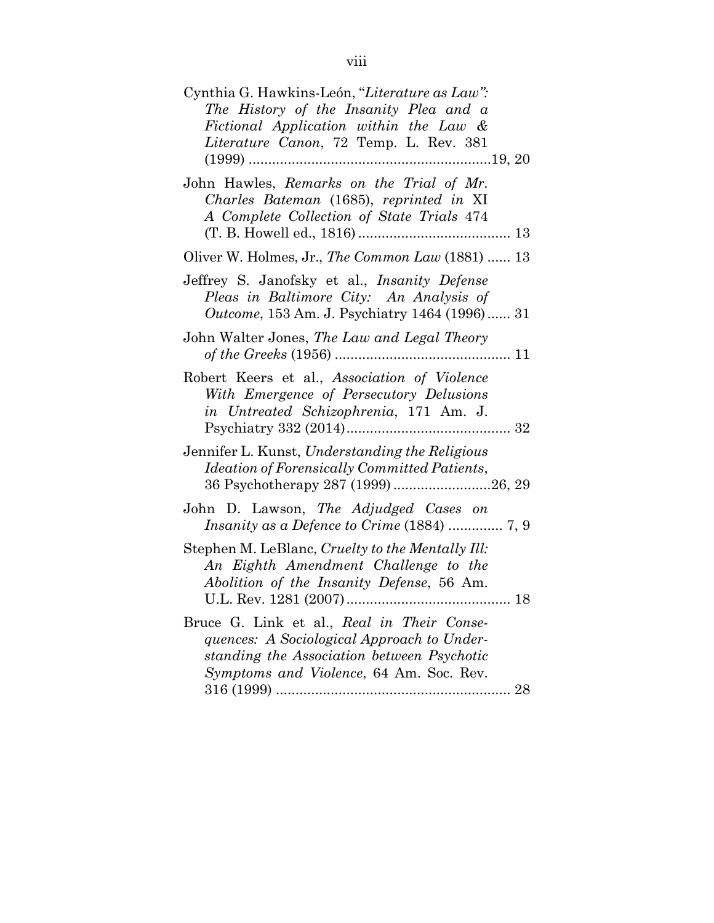| Cynthia G. Hawkins-León, "Literature as Law":<br>The History of the Insanity Plea and a<br>Fictional Application within the Law &<br>Literature Canon, 72 Temp. L. Rev. 381       |
|-----------------------------------------------------------------------------------------------------------------------------------------------------------------------------------|
| John Hawles, Remarks on the Trial of Mr.<br>Charles Bateman (1685), reprinted in XI<br>A Complete Collection of State Trials 474                                                  |
| Oliver W. Holmes, Jr., The Common Law (1881)  13                                                                                                                                  |
| Jeffrey S. Janofsky et al., <i>Insanity Defense</i><br>Pleas in Baltimore City: An Analysis of<br>Outcome, 153 Am. J. Psychiatry 1464 (1996) 31                                   |
| John Walter Jones, The Law and Legal Theory<br>of the Greeks (1956)<br>11                                                                                                         |
| Robert Keers et al., Association of Violence<br>With Emergence of Persecutory Delusions<br>in Untreated Schizophrenia, 171 Am. J.                                                 |
| Jennifer L. Kunst, Understanding the Religious<br>Ideation of Forensically Committed Patients,                                                                                    |
| John D. Lawson, The Adjudged Cases on                                                                                                                                             |
| Stephen M. LeBlanc, Cruelty to the Mentally Ill:<br>An Eighth Amendment Challenge to the<br>Abolition of the Insanity Defense, 56 Am.                                             |
| Bruce G. Link et al., Real in Their Conse-<br>quences: A Sociological Approach to Under-<br>standing the Association between Psychotic<br>Symptoms and Violence, 64 Am. Soc. Rev. |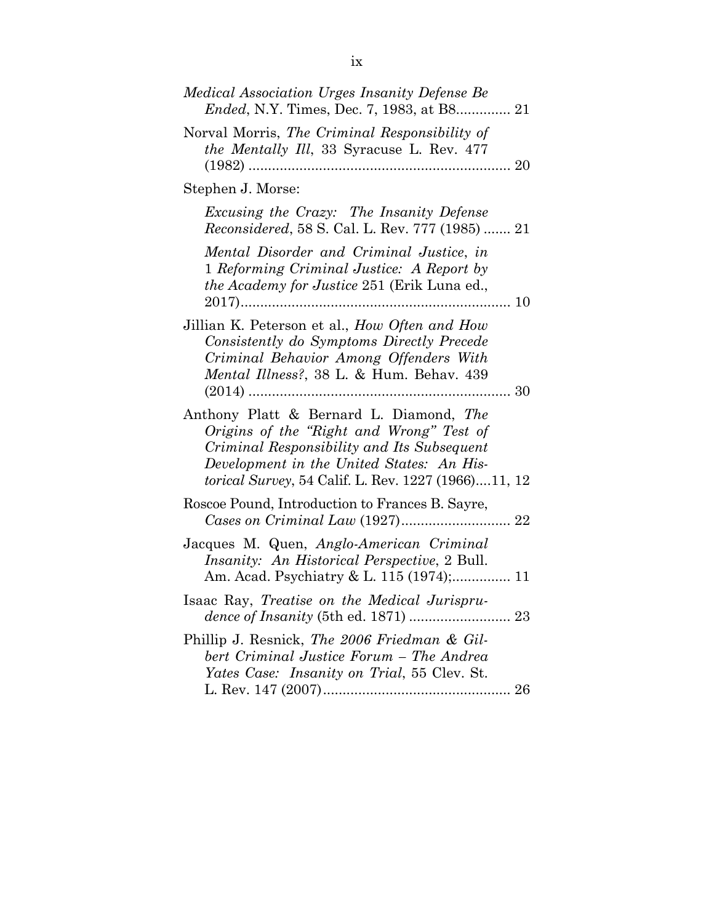| Medical Association Urges Insanity Defense Be                                                                                                                                                                                         |
|---------------------------------------------------------------------------------------------------------------------------------------------------------------------------------------------------------------------------------------|
| Norval Morris, The Criminal Responsibility of<br><i>the Mentally Ill</i> , 33 Syracuse L. Rev. 477                                                                                                                                    |
| Stephen J. Morse:                                                                                                                                                                                                                     |
| Excusing the Crazy: The Insanity Defense<br><i>Reconsidered</i> , 58 S. Cal. L. Rev. 777 (1985)  21                                                                                                                                   |
| Mental Disorder and Criminal Justice, in<br>1 Reforming Criminal Justice: A Report by<br><i>the Academy for Justice 251 (Erik Luna ed.,</i>                                                                                           |
| Jillian K. Peterson et al., How Often and How<br>Consistently do Symptoms Directly Precede<br>Criminal Behavior Among Offenders With<br>Mental Illness?, 38 L. & Hum. Behav. 439                                                      |
| Anthony Platt & Bernard L. Diamond, The<br>Origins of the "Right and Wrong" Test of<br>Criminal Responsibility and Its Subsequent<br>Development in the United States: An His-<br>torical Survey, 54 Calif. L. Rev. 1227 (1966)11, 12 |
| Roscoe Pound, Introduction to Frances B. Sayre,                                                                                                                                                                                       |
| Jacques M. Quen, Anglo-American Criminal<br><i>Insanity: An Historical Perspective, 2 Bull.</i><br>Am. Acad. Psychiatry & L. 115 (1974); 11                                                                                           |
| Isaac Ray, Treatise on the Medical Jurispru-                                                                                                                                                                                          |
| Phillip J. Resnick, The 2006 Friedman & Gil-<br>bert Criminal Justice Forum - The Andrea<br>Yates Case: Insanity on Trial, 55 Clev. St.                                                                                               |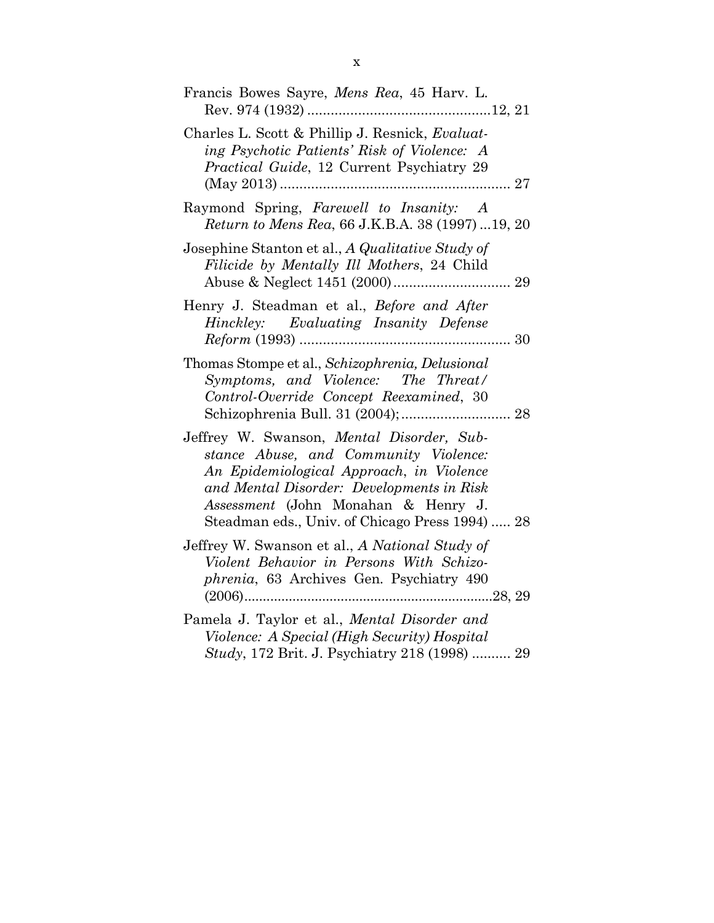| Francis Bowes Sayre, Mens Rea, 45 Harv. L.                                                                                                                                                                                                                            |
|-----------------------------------------------------------------------------------------------------------------------------------------------------------------------------------------------------------------------------------------------------------------------|
| Charles L. Scott & Phillip J. Resnick, Evaluat-<br>ing Psychotic Patients' Risk of Violence: A<br>Practical Guide, 12 Current Psychiatry 29                                                                                                                           |
| Raymond Spring, Farewell to Insanity: A<br>Return to Mens Rea, 66 J.K.B.A. 38 (1997) 19, 20                                                                                                                                                                           |
| Josephine Stanton et al., A Qualitative Study of<br>Filicide by Mentally Ill Mothers, 24 Child                                                                                                                                                                        |
| Henry J. Steadman et al., Before and After<br>Hinckley: Evaluating Insanity Defense<br>30                                                                                                                                                                             |
| Thomas Stompe et al., Schizophrenia, Delusional<br>Symptoms, and Violence: The Threat/<br>Control-Override Concept Reexamined, 30<br>Schizophrenia Bull. 31 (2004);  28                                                                                               |
| Jeffrey W. Swanson, Mental Disorder, Sub-<br>stance Abuse, and Community Violence:<br>An Epidemiological Approach, in Violence<br>and Mental Disorder: Developments in Risk<br>Assessment (John Monahan & Henry J.<br>Steadman eds., Univ. of Chicago Press 1994)  28 |
| Jeffrey W. Swanson et al., A National Study of<br>Violent Behavior in Persons With Schizo-<br>phrenia, 63 Archives Gen. Psychiatry 490                                                                                                                                |
| Pamela J. Taylor et al., Mental Disorder and<br>Violence: A Special (High Security) Hospital<br>Study, 172 Brit. J. Psychiatry 218 (1998)  29                                                                                                                         |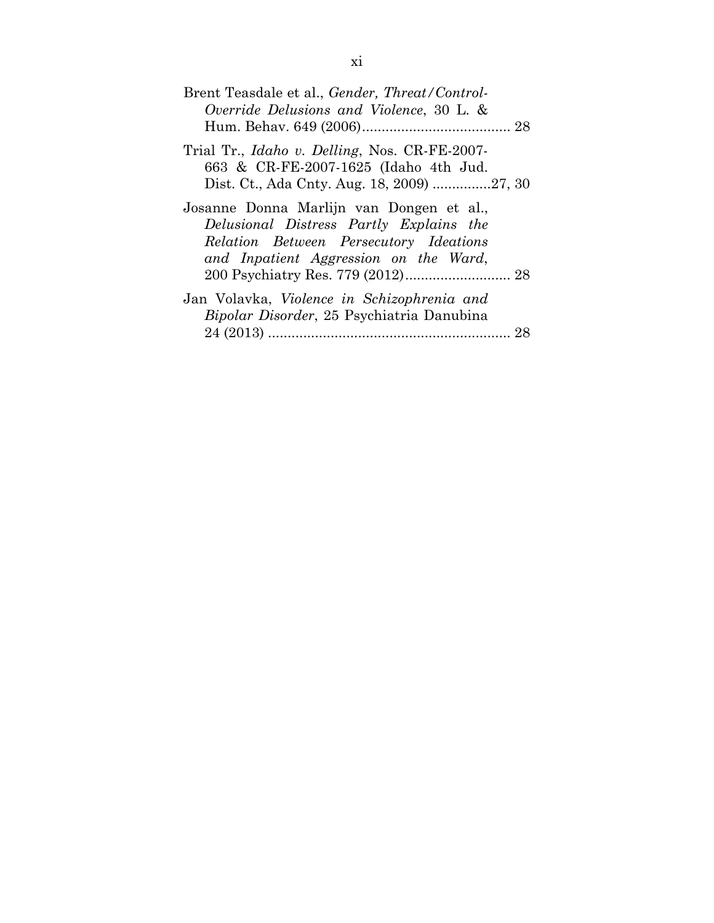| Brent Teasdale et al., <i>Gender, Threat/Control-</i><br>Override Delusions and Violence, 30 L. &                                                                      |
|------------------------------------------------------------------------------------------------------------------------------------------------------------------------|
| Trial Tr., <i>Idaho v. Delling</i> , Nos. CR-FE-2007-<br>663 & CR-FE-2007-1625 (Idaho 4th Jud.                                                                         |
| Josanne Donna Marlijn van Dongen et al.,<br>Delusional Distress Partly Explains the<br>Relation Between Persecutory Ideations<br>and Inpatient Aggression on the Ward, |
| Jan Volavka, Violence in Schizophrenia and<br><i>Bipolar Disorder</i> , 25 Psychiatria Danubina<br>28                                                                  |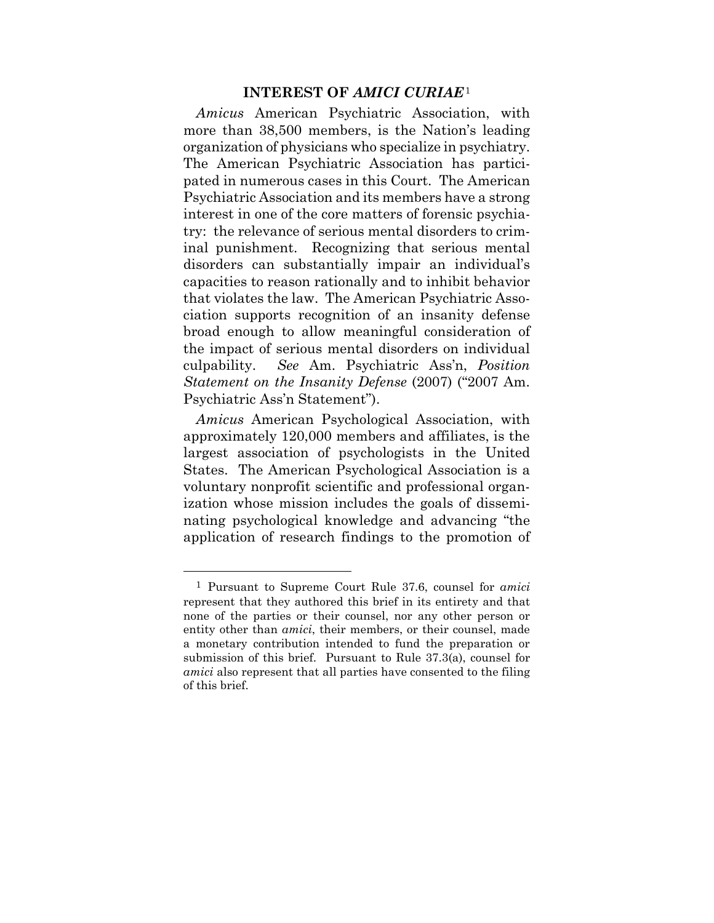#### **INTEREST OF** *AMICI CURIAE*<sup>1</sup>

*Amicus* American Psychiatric Association, with more than 38,500 members, is the Nation's leading organization of physicians who specialize in psychiatry. The American Psychiatric Association has participated in numerous cases in this Court. The American Psychiatric Association and its members have a strong interest in one of the core matters of forensic psychiatry: the relevance of serious mental disorders to criminal punishment. Recognizing that serious mental disorders can substantially impair an individual's capacities to reason rationally and to inhibit behavior that violates the law. The American Psychiatric Association supports recognition of an insanity defense broad enough to allow meaningful consideration of the impact of serious mental disorders on individual culpability. *See* Am. Psychiatric Ass'n, *Position Statement on the Insanity Defense* (2007) ("2007 Am. Psychiatric Ass'n Statement").

*Amicus* American Psychological Association, with approximately 120,000 members and affiliates, is the largest association of psychologists in the United States. The American Psychological Association is a voluntary nonprofit scientific and professional organization whose mission includes the goals of disseminating psychological knowledge and advancing "the application of research findings to the promotion of

 $\overline{a}$ 

<sup>1</sup> Pursuant to Supreme Court Rule 37.6, counsel for *amici* represent that they authored this brief in its entirety and that none of the parties or their counsel, nor any other person or entity other than *amici*, their members, or their counsel, made a monetary contribution intended to fund the preparation or submission of this brief. Pursuant to Rule 37.3(a), counsel for *amici* also represent that all parties have consented to the filing of this brief.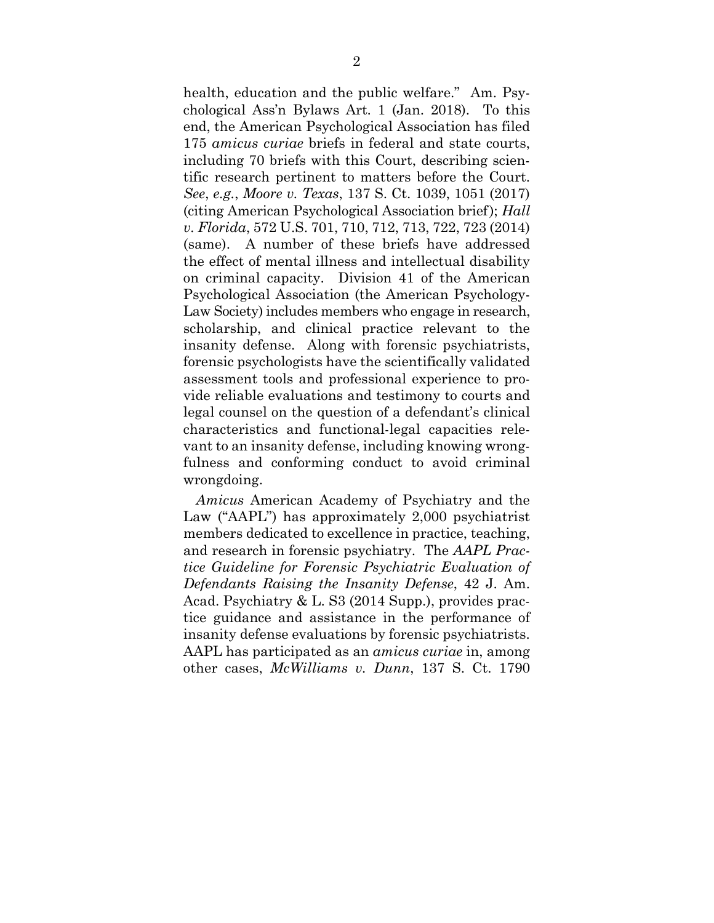health, education and the public welfare." Am. Psychological Ass'n Bylaws Art. 1 (Jan. 2018). To this end, the American Psychological Association has filed 175 *amicus curiae* briefs in federal and state courts, including 70 briefs with this Court, describing scientific research pertinent to matters before the Court. *See*, *e.g.*, *Moore v. Texas*, 137 S. Ct. 1039, 1051 (2017) (citing American Psychological Association brief); *Hall v. Florida*, 572 U.S. 701, 710, 712, 713, 722, 723 (2014) (same). A number of these briefs have addressed the effect of mental illness and intellectual disability on criminal capacity. Division 41 of the American Psychological Association (the American Psychology-Law Society) includes members who engage in research, scholarship, and clinical practice relevant to the insanity defense. Along with forensic psychiatrists, forensic psychologists have the scientifically validated assessment tools and professional experience to provide reliable evaluations and testimony to courts and legal counsel on the question of a defendant's clinical characteristics and functional-legal capacities relevant to an insanity defense, including knowing wrongfulness and conforming conduct to avoid criminal wrongdoing.

*Amicus* American Academy of Psychiatry and the Law ("AAPL") has approximately 2,000 psychiatrist members dedicated to excellence in practice, teaching, and research in forensic psychiatry. The *AAPL Practice Guideline for Forensic Psychiatric Evaluation of Defendants Raising the Insanity Defense*, 42 J. Am. Acad. Psychiatry & L. S3 (2014 Supp.), provides practice guidance and assistance in the performance of insanity defense evaluations by forensic psychiatrists. AAPL has participated as an *amicus curiae* in, among other cases, *McWilliams v. Dunn*, 137 S. Ct. 1790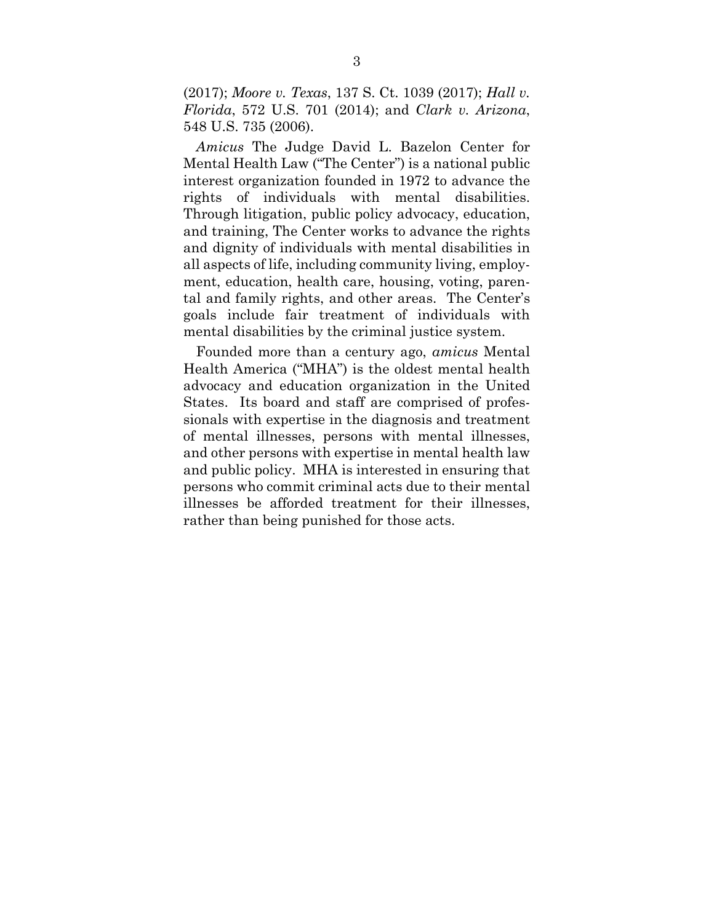(2017); *Moore v. Texas*, 137 S. Ct. 1039 (2017); *Hall v. Florida*, 572 U.S. 701 (2014); and *Clark v. Arizona*, 548 U.S. 735 (2006).

*Amicus* The Judge David L. Bazelon Center for Mental Health Law ("The Center") is a national public interest organization founded in 1972 to advance the rights of individuals with mental disabilities. Through litigation, public policy advocacy, education, and training, The Center works to advance the rights and dignity of individuals with mental disabilities in all aspects of life, including community living, employment, education, health care, housing, voting, parental and family rights, and other areas. The Center's goals include fair treatment of individuals with mental disabilities by the criminal justice system.

Founded more than a century ago, *amicus* Mental Health America ("MHA") is the oldest mental health advocacy and education organization in the United States. Its board and staff are comprised of professionals with expertise in the diagnosis and treatment of mental illnesses, persons with mental illnesses, and other persons with expertise in mental health law and public policy. MHA is interested in ensuring that persons who commit criminal acts due to their mental illnesses be afforded treatment for their illnesses, rather than being punished for those acts.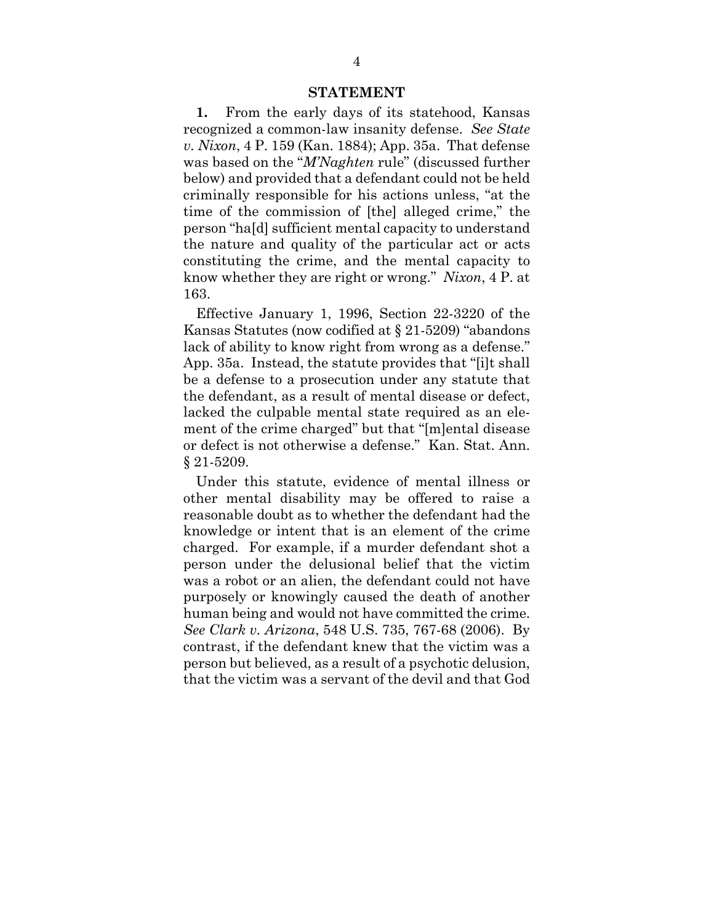#### **STATEMENT**

**1.** From the early days of its statehood, Kansas recognized a common-law insanity defense. *See State v. Nixon*, 4 P. 159 (Kan. 1884); App. 35a. That defense was based on the "*M'Naghten* rule" (discussed further below) and provided that a defendant could not be held criminally responsible for his actions unless, "at the time of the commission of [the] alleged crime," the person "ha[d] sufficient mental capacity to understand the nature and quality of the particular act or acts constituting the crime, and the mental capacity to know whether they are right or wrong." *Nixon*, 4 P. at 163.

Effective January 1, 1996, Section 22-3220 of the Kansas Statutes (now codified at § 21-5209) "abandons lack of ability to know right from wrong as a defense." App. 35a. Instead, the statute provides that "[i]t shall be a defense to a prosecution under any statute that the defendant, as a result of mental disease or defect, lacked the culpable mental state required as an element of the crime charged" but that "[m]ental disease or defect is not otherwise a defense." Kan. Stat. Ann. § 21-5209.

Under this statute, evidence of mental illness or other mental disability may be offered to raise a reasonable doubt as to whether the defendant had the knowledge or intent that is an element of the crime charged. For example, if a murder defendant shot a person under the delusional belief that the victim was a robot or an alien, the defendant could not have purposely or knowingly caused the death of another human being and would not have committed the crime. *See Clark v. Arizona*, 548 U.S. 735, 767-68 (2006). By contrast, if the defendant knew that the victim was a person but believed, as a result of a psychotic delusion, that the victim was a servant of the devil and that God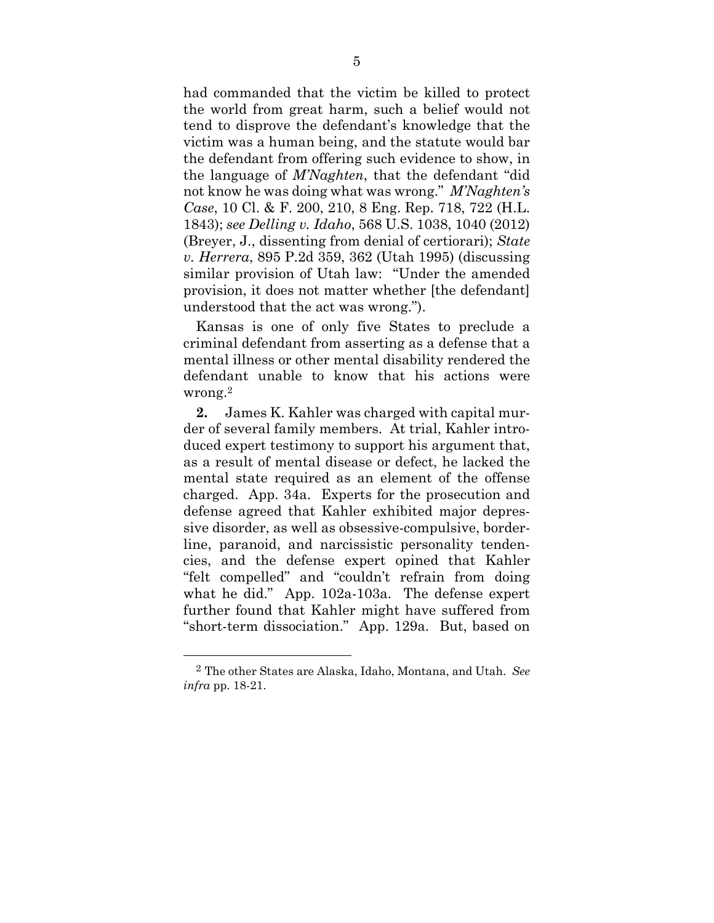had commanded that the victim be killed to protect the world from great harm, such a belief would not tend to disprove the defendant's knowledge that the victim was a human being, and the statute would bar the defendant from offering such evidence to show, in the language of *M'Naghten*, that the defendant "did not know he was doing what was wrong." *M'Naghten's Case*, 10 Cl. & F. 200, 210, 8 Eng. Rep. 718, 722 (H.L. 1843); *see Delling v. Idaho*, 568 U.S. 1038, 1040 (2012) (Breyer, J., dissenting from denial of certiorari); *State v. Herrera*, 895 P.2d 359, 362 (Utah 1995) (discussing similar provision of Utah law: "Under the amended provision, it does not matter whether [the defendant] understood that the act was wrong.").

Kansas is one of only five States to preclude a criminal defendant from asserting as a defense that a mental illness or other mental disability rendered the defendant unable to know that his actions were wrong.2

**2.** James K. Kahler was charged with capital murder of several family members. At trial, Kahler introduced expert testimony to support his argument that, as a result of mental disease or defect, he lacked the mental state required as an element of the offense charged. App. 34a. Experts for the prosecution and defense agreed that Kahler exhibited major depressive disorder, as well as obsessive-compulsive, borderline, paranoid, and narcissistic personality tendencies, and the defense expert opined that Kahler "felt compelled" and "couldn't refrain from doing what he did." App. 102a-103a. The defense expert further found that Kahler might have suffered from "short-term dissociation." App. 129a. But, based on

1

<sup>2</sup> The other States are Alaska, Idaho, Montana, and Utah. *See infra* pp. 18-21.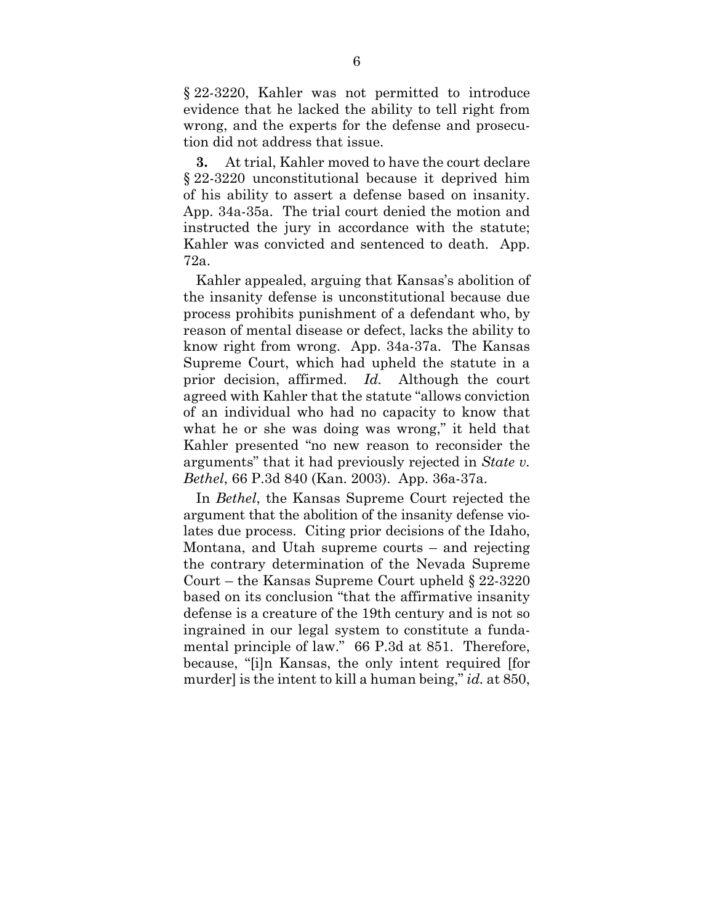§ 22-3220, Kahler was not permitted to introduce evidence that he lacked the ability to tell right from wrong, and the experts for the defense and prosecution did not address that issue.

**3.** At trial, Kahler moved to have the court declare § 22-3220 unconstitutional because it deprived him of his ability to assert a defense based on insanity. App. 34a-35a. The trial court denied the motion and instructed the jury in accordance with the statute; Kahler was convicted and sentenced to death. App. 72a.

Kahler appealed, arguing that Kansas's abolition of the insanity defense is unconstitutional because due process prohibits punishment of a defendant who, by reason of mental disease or defect, lacks the ability to know right from wrong. App. 34a-37a. The Kansas Supreme Court, which had upheld the statute in a prior decision, affirmed. *Id.* Although the court agreed with Kahler that the statute "allows conviction of an individual who had no capacity to know that what he or she was doing was wrong," it held that Kahler presented "no new reason to reconsider the arguments" that it had previously rejected in *State v. Bethel*, 66 P.3d 840 (Kan. 2003). App. 36a-37a.

In *Bethel*, the Kansas Supreme Court rejected the argument that the abolition of the insanity defense violates due process. Citing prior decisions of the Idaho, Montana, and Utah supreme courts – and rejecting the contrary determination of the Nevada Supreme Court – the Kansas Supreme Court upheld § 22-3220 based on its conclusion "that the affirmative insanity defense is a creature of the 19th century and is not so ingrained in our legal system to constitute a fundamental principle of law." 66 P.3d at 851. Therefore, because, "[i]n Kansas, the only intent required [for murder] is the intent to kill a human being," *id.* at 850,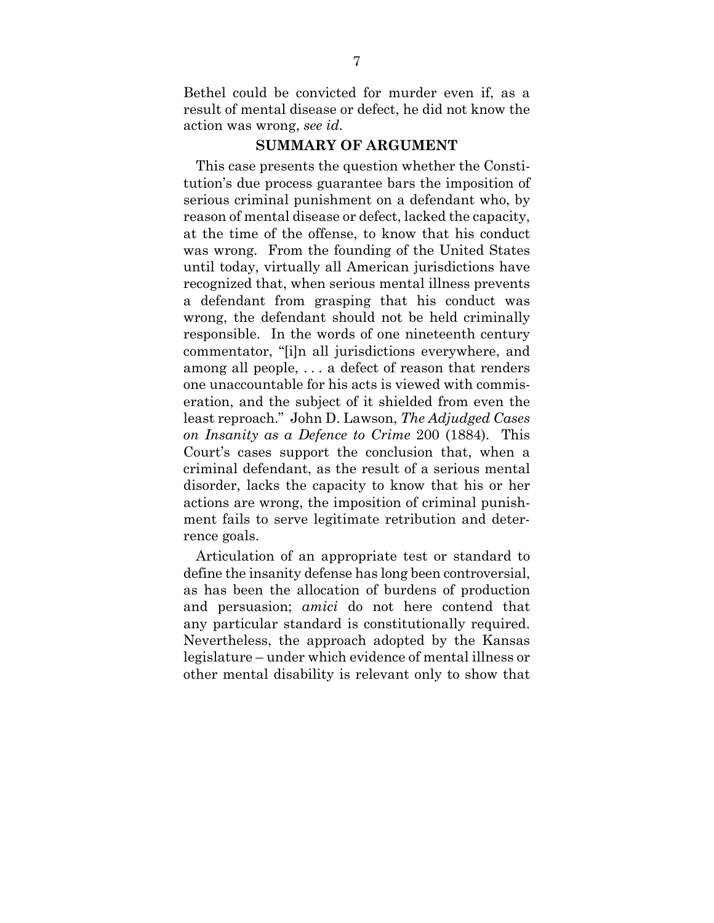Bethel could be convicted for murder even if, as a result of mental disease or defect, he did not know the action was wrong, *see id.* 

## **SUMMARY OF ARGUMENT**

This case presents the question whether the Constitution's due process guarantee bars the imposition of serious criminal punishment on a defendant who, by reason of mental disease or defect, lacked the capacity, at the time of the offense, to know that his conduct was wrong. From the founding of the United States until today, virtually all American jurisdictions have recognized that, when serious mental illness prevents a defendant from grasping that his conduct was wrong, the defendant should not be held criminally responsible. In the words of one nineteenth century commentator, "[i]n all jurisdictions everywhere, and among all people, . . . a defect of reason that renders one unaccountable for his acts is viewed with commiseration, and the subject of it shielded from even the least reproach." John D. Lawson, *The Adjudged Cases on Insanity as a Defence to Crime* 200 (1884). This Court's cases support the conclusion that, when a criminal defendant, as the result of a serious mental disorder, lacks the capacity to know that his or her actions are wrong, the imposition of criminal punishment fails to serve legitimate retribution and deterrence goals.

Articulation of an appropriate test or standard to define the insanity defense has long been controversial, as has been the allocation of burdens of production and persuasion; *amici* do not here contend that any particular standard is constitutionally required. Nevertheless, the approach adopted by the Kansas legislature – under which evidence of mental illness or other mental disability is relevant only to show that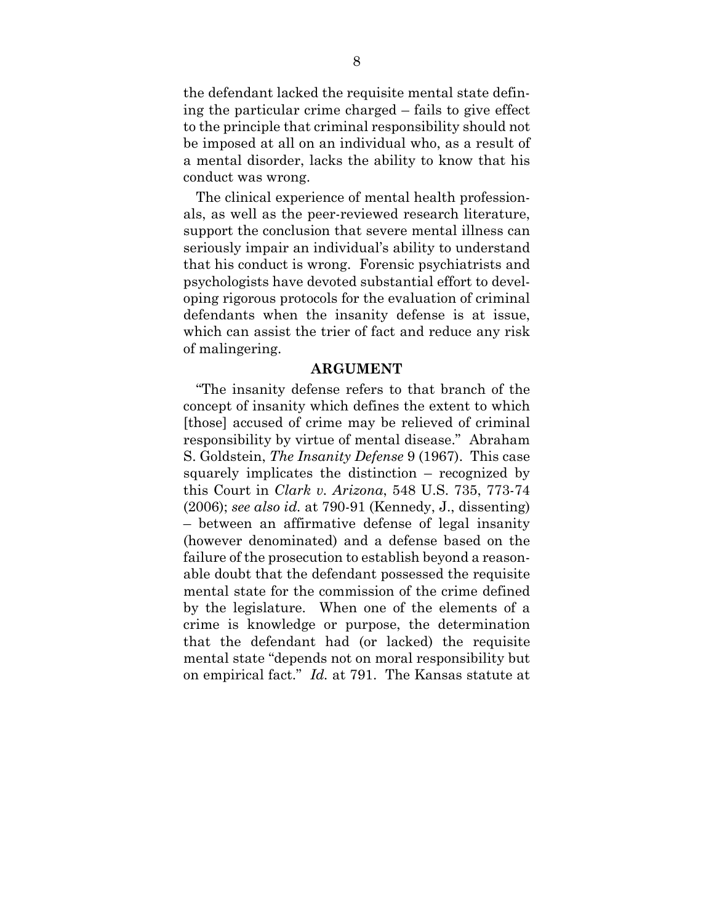the defendant lacked the requisite mental state defining the particular crime charged – fails to give effect to the principle that criminal responsibility should not be imposed at all on an individual who, as a result of a mental disorder, lacks the ability to know that his conduct was wrong.

The clinical experience of mental health professionals, as well as the peer-reviewed research literature, support the conclusion that severe mental illness can seriously impair an individual's ability to understand that his conduct is wrong. Forensic psychiatrists and psychologists have devoted substantial effort to developing rigorous protocols for the evaluation of criminal defendants when the insanity defense is at issue, which can assist the trier of fact and reduce any risk of malingering.

#### **ARGUMENT**

"The insanity defense refers to that branch of the concept of insanity which defines the extent to which [those] accused of crime may be relieved of criminal responsibility by virtue of mental disease." Abraham S. Goldstein, *The Insanity Defense* 9 (1967). This case squarely implicates the distinction – recognized by this Court in *Clark v. Arizona*, 548 U.S. 735, 773-74 (2006); *see also id.* at 790-91 (Kennedy, J., dissenting) – between an affirmative defense of legal insanity (however denominated) and a defense based on the failure of the prosecution to establish beyond a reasonable doubt that the defendant possessed the requisite mental state for the commission of the crime defined by the legislature. When one of the elements of a crime is knowledge or purpose, the determination that the defendant had (or lacked) the requisite mental state "depends not on moral responsibility but on empirical fact." *Id.* at 791. The Kansas statute at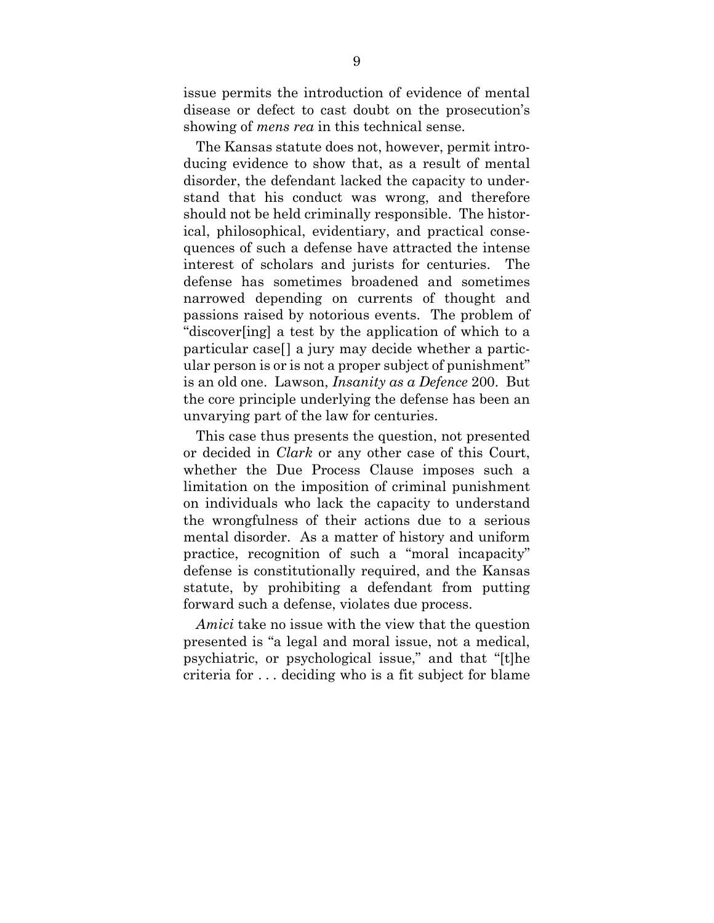issue permits the introduction of evidence of mental disease or defect to cast doubt on the prosecution's showing of *mens rea* in this technical sense.

The Kansas statute does not, however, permit introducing evidence to show that, as a result of mental disorder, the defendant lacked the capacity to understand that his conduct was wrong, and therefore should not be held criminally responsible. The historical, philosophical, evidentiary, and practical consequences of such a defense have attracted the intense interest of scholars and jurists for centuries. The defense has sometimes broadened and sometimes narrowed depending on currents of thought and passions raised by notorious events. The problem of "discover[ing] a test by the application of which to a particular case[] a jury may decide whether a particular person is or is not a proper subject of punishment" is an old one. Lawson, *Insanity as a Defence* 200. But the core principle underlying the defense has been an unvarying part of the law for centuries.

This case thus presents the question, not presented or decided in *Clark* or any other case of this Court, whether the Due Process Clause imposes such a limitation on the imposition of criminal punishment on individuals who lack the capacity to understand the wrongfulness of their actions due to a serious mental disorder. As a matter of history and uniform practice, recognition of such a "moral incapacity" defense is constitutionally required, and the Kansas statute, by prohibiting a defendant from putting forward such a defense, violates due process.

*Amici* take no issue with the view that the question presented is "a legal and moral issue, not a medical, psychiatric, or psychological issue," and that "[t]he criteria for . . . deciding who is a fit subject for blame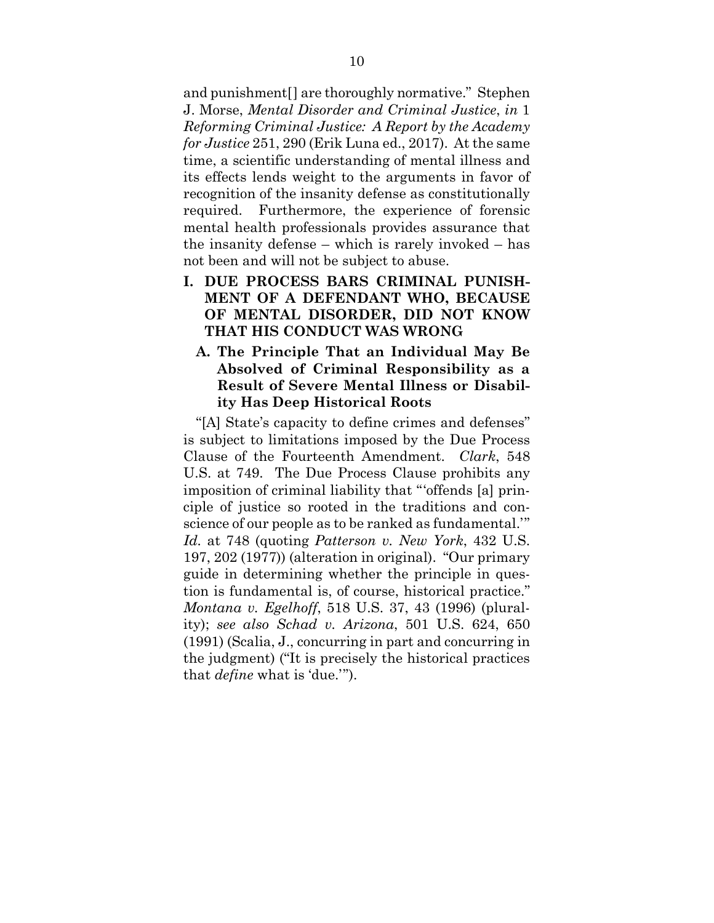and punishment[] are thoroughly normative." Stephen J. Morse, *Mental Disorder and Criminal Justice*, *in* 1 *Reforming Criminal Justice: A Report by the Academy for Justice* 251, 290 (Erik Luna ed., 2017). At the same time, a scientific understanding of mental illness and its effects lends weight to the arguments in favor of recognition of the insanity defense as constitutionally required. Furthermore, the experience of forensic mental health professionals provides assurance that the insanity defense – which is rarely invoked – has not been and will not be subject to abuse.

- **I. DUE PROCESS BARS CRIMINAL PUNISH-MENT OF A DEFENDANT WHO, BECAUSE OF MENTAL DISORDER, DID NOT KNOW THAT HIS CONDUCT WAS WRONG** 
	- **A. The Principle That an Individual May Be Absolved of Criminal Responsibility as a Result of Severe Mental Illness or Disability Has Deep Historical Roots**

"[A] State's capacity to define crimes and defenses" is subject to limitations imposed by the Due Process Clause of the Fourteenth Amendment. *Clark*, 548 U.S. at 749. The Due Process Clause prohibits any imposition of criminal liability that "'offends [a] principle of justice so rooted in the traditions and conscience of our people as to be ranked as fundamental.'" *Id.* at 748 (quoting *Patterson v. New York*, 432 U.S. 197, 202 (1977)) (alteration in original). "Our primary guide in determining whether the principle in question is fundamental is, of course, historical practice." *Montana v. Egelhoff*, 518 U.S. 37, 43 (1996) (plurality); *see also Schad v. Arizona*, 501 U.S. 624, 650 (1991) (Scalia, J., concurring in part and concurring in the judgment) ("It is precisely the historical practices that *define* what is 'due.'").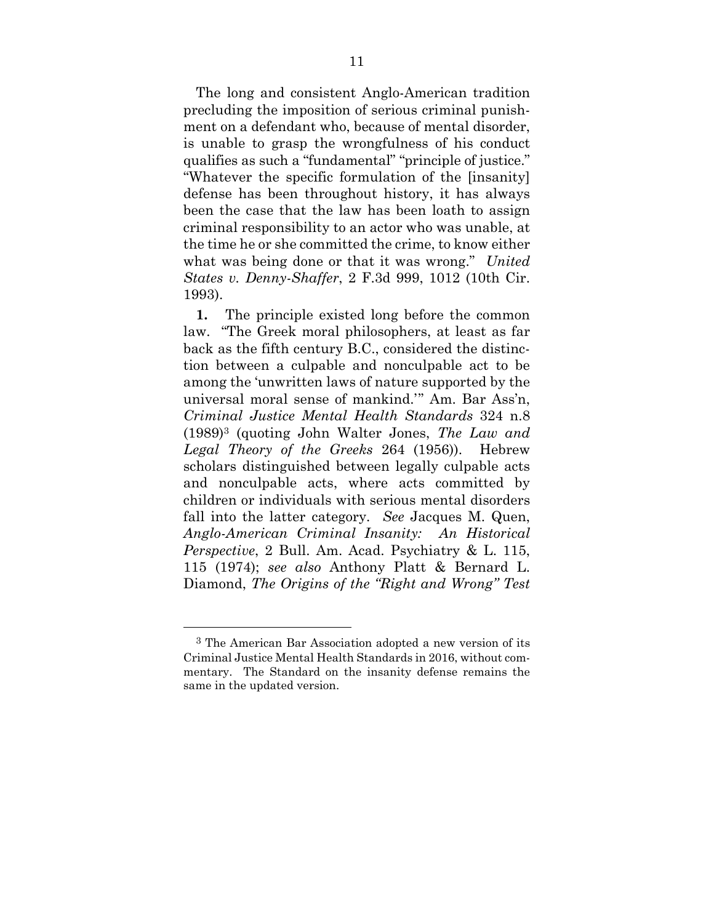The long and consistent Anglo-American tradition precluding the imposition of serious criminal punishment on a defendant who, because of mental disorder, is unable to grasp the wrongfulness of his conduct qualifies as such a "fundamental" "principle of justice." "Whatever the specific formulation of the [insanity] defense has been throughout history, it has always been the case that the law has been loath to assign criminal responsibility to an actor who was unable, at the time he or she committed the crime, to know either what was being done or that it was wrong." *United States v. Denny-Shaffer*, 2 F.3d 999, 1012 (10th Cir. 1993).

**1.** The principle existed long before the common law. "The Greek moral philosophers, at least as far back as the fifth century B.C., considered the distinction between a culpable and nonculpable act to be among the 'unwritten laws of nature supported by the universal moral sense of mankind.'" Am. Bar Ass'n, *Criminal Justice Mental Health Standards* 324 n.8 (1989)3 (quoting John Walter Jones, *The Law and Legal Theory of the Greeks* 264 (1956)). Hebrew scholars distinguished between legally culpable acts and nonculpable acts, where acts committed by children or individuals with serious mental disorders fall into the latter category. *See* Jacques M. Quen, *Anglo-American Criminal Insanity: An Historical Perspective*, 2 Bull. Am. Acad. Psychiatry & L. 115, 115 (1974); *see also* Anthony Platt & Bernard L. Diamond, *The Origins of the "Right and Wrong" Test* 

-

<sup>3</sup> The American Bar Association adopted a new version of its Criminal Justice Mental Health Standards in 2016, without commentary. The Standard on the insanity defense remains the same in the updated version.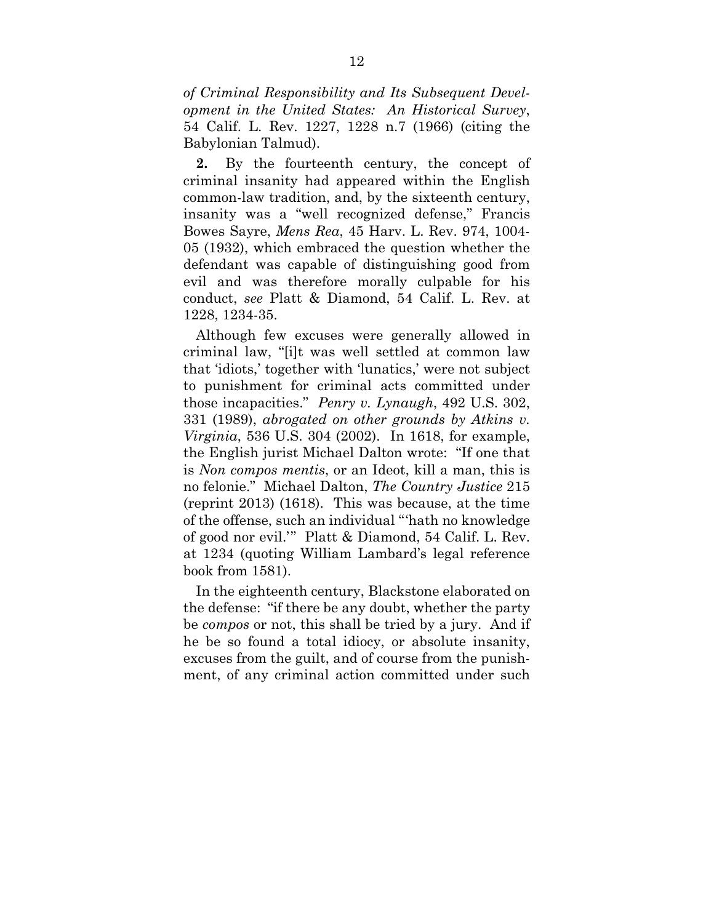*of Criminal Responsibility and Its Subsequent Development in the United States: An Historical Survey*, 54 Calif. L. Rev. 1227, 1228 n.7 (1966) (citing the Babylonian Talmud).

**2.** By the fourteenth century, the concept of criminal insanity had appeared within the English common-law tradition, and, by the sixteenth century, insanity was a "well recognized defense," Francis Bowes Sayre, *Mens Rea*, 45 Harv. L. Rev. 974, 1004- 05 (1932), which embraced the question whether the defendant was capable of distinguishing good from evil and was therefore morally culpable for his conduct, *see* Platt & Diamond, 54 Calif. L. Rev. at 1228, 1234-35.

Although few excuses were generally allowed in criminal law, "[i]t was well settled at common law that 'idiots,' together with 'lunatics,' were not subject to punishment for criminal acts committed under those incapacities." *Penry v. Lynaugh*, 492 U.S. 302, 331 (1989), *abrogated on other grounds by Atkins v. Virginia*, 536 U.S. 304 (2002). In 1618, for example, the English jurist Michael Dalton wrote: "If one that is *Non compos mentis*, or an Ideot, kill a man, this is no felonie." Michael Dalton, *The Country Justice* 215 (reprint 2013) (1618). This was because, at the time of the offense, such an individual "'hath no knowledge of good nor evil.'" Platt & Diamond, 54 Calif. L. Rev. at 1234 (quoting William Lambard's legal reference book from 1581).

In the eighteenth century, Blackstone elaborated on the defense: "if there be any doubt, whether the party be *compos* or not, this shall be tried by a jury. And if he be so found a total idiocy, or absolute insanity, excuses from the guilt, and of course from the punishment, of any criminal action committed under such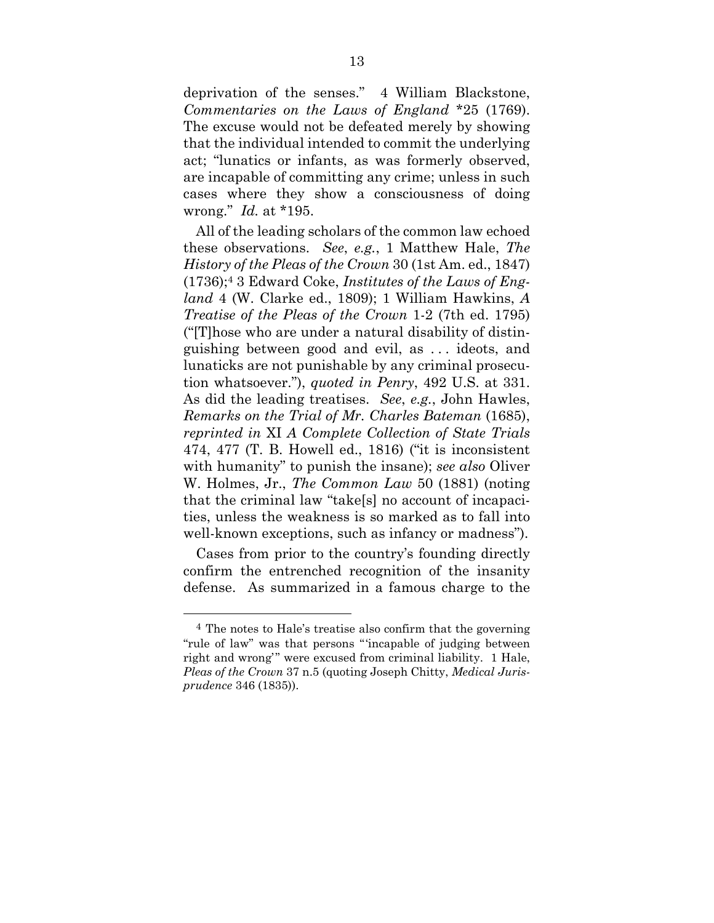deprivation of the senses." 4 William Blackstone, *Commentaries on the Laws of England* \*25 (1769). The excuse would not be defeated merely by showing that the individual intended to commit the underlying act; "lunatics or infants, as was formerly observed, are incapable of committing any crime; unless in such cases where they show a consciousness of doing wrong." *Id.* at \*195.

All of the leading scholars of the common law echoed these observations. *See*, *e.g.*, 1 Matthew Hale, *The History of the Pleas of the Crown* 30 (1st Am. ed., 1847) (1736);4 3 Edward Coke, *Institutes of the Laws of England* 4 (W. Clarke ed., 1809); 1 William Hawkins, *A Treatise of the Pleas of the Crown* 1-2 (7th ed. 1795) ("[T]hose who are under a natural disability of distinguishing between good and evil, as . . . ideots, and lunaticks are not punishable by any criminal prosecution whatsoever."), *quoted in Penry*, 492 U.S. at 331. As did the leading treatises. *See*, *e.g.*, John Hawles, *Remarks on the Trial of Mr. Charles Bateman* (1685), *reprinted in* XI *A Complete Collection of State Trials* 474, 477 (T. B. Howell ed., 1816) ("it is inconsistent with humanity" to punish the insane); *see also* Oliver W. Holmes, Jr., *The Common Law* 50 (1881) (noting that the criminal law "take[s] no account of incapacities, unless the weakness is so marked as to fall into well-known exceptions, such as infancy or madness").

Cases from prior to the country's founding directly confirm the entrenched recognition of the insanity defense. As summarized in a famous charge to the

-

<sup>4</sup> The notes to Hale's treatise also confirm that the governing "rule of law" was that persons "'incapable of judging between right and wrong'" were excused from criminal liability. 1 Hale, *Pleas of the Crown* 37 n.5 (quoting Joseph Chitty, *Medical Jurisprudence* 346 (1835)).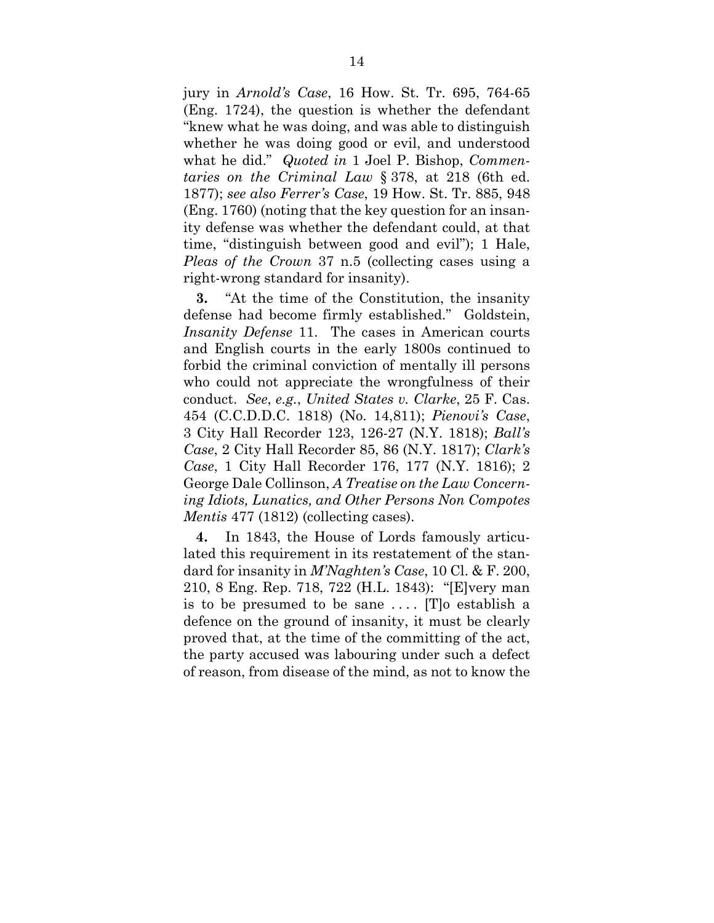jury in *Arnold's Case*, 16 How. St. Tr. 695, 764-65 (Eng. 1724), the question is whether the defendant "knew what he was doing, and was able to distinguish whether he was doing good or evil, and understood what he did." *Quoted in* 1 Joel P. Bishop, *Commentaries on the Criminal Law* § 378, at 218 (6th ed. 1877); *see also Ferrer's Case*, 19 How. St. Tr. 885, 948 (Eng. 1760) (noting that the key question for an insanity defense was whether the defendant could, at that time, "distinguish between good and evil"); 1 Hale, *Pleas of the Crown* 37 n.5 (collecting cases using a right-wrong standard for insanity).

**3.** "At the time of the Constitution, the insanity defense had become firmly established." Goldstein, *Insanity Defense* 11. The cases in American courts and English courts in the early 1800s continued to forbid the criminal conviction of mentally ill persons who could not appreciate the wrongfulness of their conduct. *See*, *e.g.*, *United States v. Clarke*, 25 F. Cas. 454 (C.C.D.D.C. 1818) (No. 14,811); *Pienovi's Case*, 3 City Hall Recorder 123, 126-27 (N.Y. 1818); *Ball's Case*, 2 City Hall Recorder 85, 86 (N.Y. 1817); *Clark's Case*, 1 City Hall Recorder 176, 177 (N.Y. 1816); 2 George Dale Collinson, *A Treatise on the Law Concerning Idiots, Lunatics, and Other Persons Non Compotes Mentis* 477 (1812) (collecting cases).

**4.** In 1843, the House of Lords famously articulated this requirement in its restatement of the standard for insanity in *M'Naghten's Case*, 10 Cl. & F. 200, 210, 8 Eng. Rep. 718, 722 (H.L. 1843): "[E]very man is to be presumed to be sane  $\dots$  [T]<sup>o</sup> establish a defence on the ground of insanity, it must be clearly proved that, at the time of the committing of the act, the party accused was labouring under such a defect of reason, from disease of the mind, as not to know the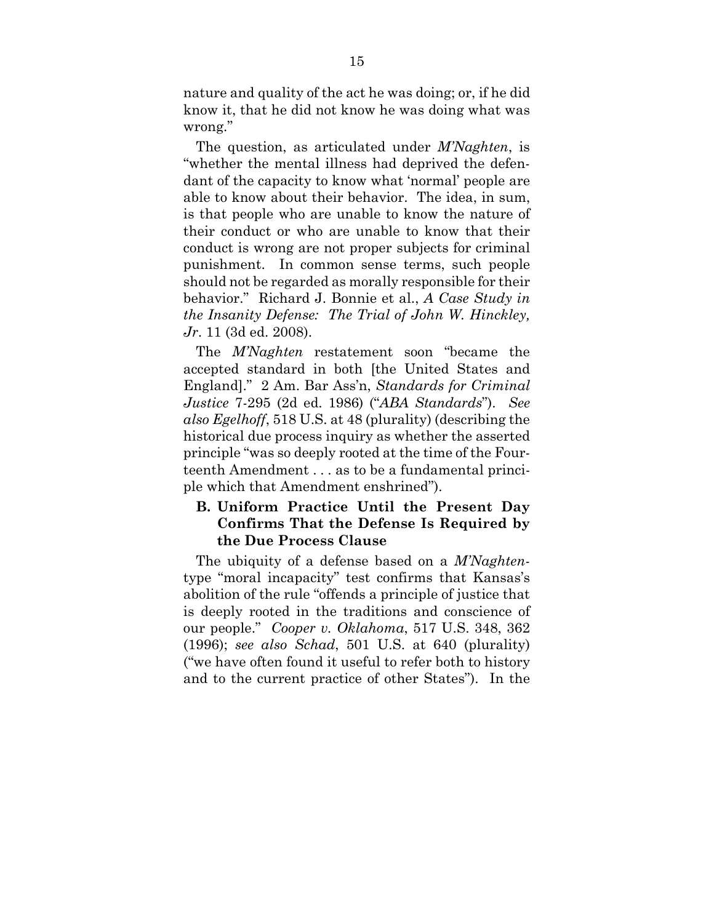nature and quality of the act he was doing; or, if he did know it, that he did not know he was doing what was wrong."

The question, as articulated under *M'Naghten*, is "whether the mental illness had deprived the defendant of the capacity to know what 'normal' people are able to know about their behavior. The idea, in sum, is that people who are unable to know the nature of their conduct or who are unable to know that their conduct is wrong are not proper subjects for criminal punishment. In common sense terms, such people should not be regarded as morally responsible for their behavior." Richard J. Bonnie et al., *A Case Study in the Insanity Defense: The Trial of John W. Hinckley, Jr*. 11 (3d ed. 2008).

The *M'Naghten* restatement soon "became the accepted standard in both [the United States and England]." 2 Am. Bar Ass'n, *Standards for Criminal Justice* 7-295 (2d ed. 1986) ("*ABA Standards*"). *See also Egelhoff*, 518 U.S. at 48 (plurality) (describing the historical due process inquiry as whether the asserted principle "was so deeply rooted at the time of the Fourteenth Amendment . . . as to be a fundamental principle which that Amendment enshrined").

## **B. Uniform Practice Until the Present Day Confirms That the Defense Is Required by the Due Process Clause**

The ubiquity of a defense based on a *M'Naghten*type "moral incapacity" test confirms that Kansas's abolition of the rule "offends a principle of justice that is deeply rooted in the traditions and conscience of our people." *Cooper v. Oklahoma*, 517 U.S. 348, 362 (1996); *see also Schad*, 501 U.S. at 640 (plurality) ("we have often found it useful to refer both to history and to the current practice of other States"). In the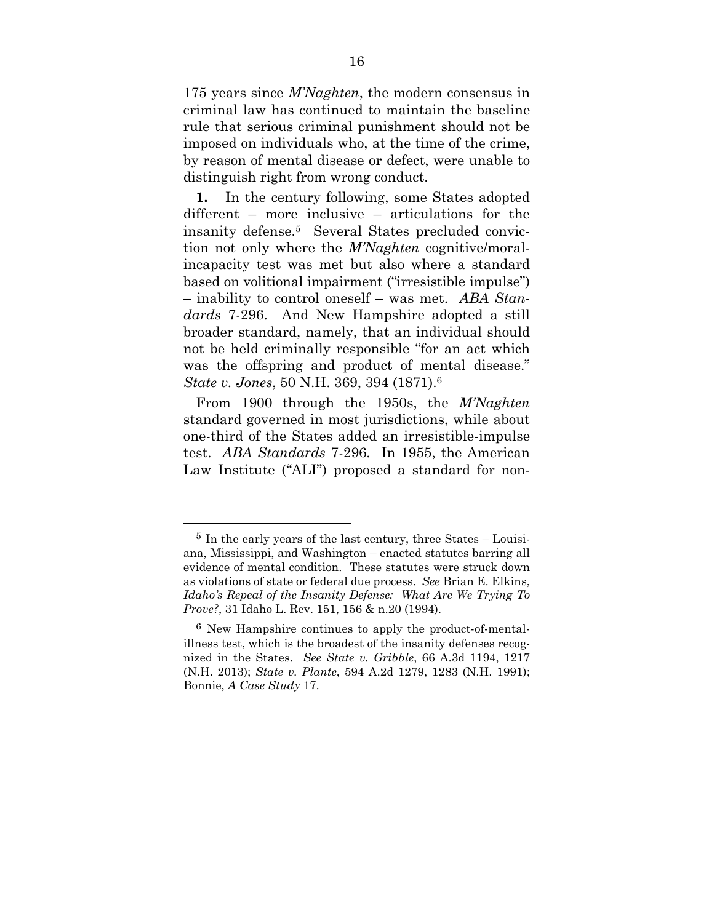175 years since *M'Naghten*, the modern consensus in criminal law has continued to maintain the baseline rule that serious criminal punishment should not be imposed on individuals who, at the time of the crime, by reason of mental disease or defect, were unable to distinguish right from wrong conduct.

**1.** In the century following, some States adopted different – more inclusive – articulations for the insanity defense.5 Several States precluded conviction not only where the *M'Naghten* cognitive/moralincapacity test was met but also where a standard based on volitional impairment ("irresistible impulse") – inability to control oneself – was met. *ABA Standards* 7-296. And New Hampshire adopted a still broader standard, namely, that an individual should not be held criminally responsible "for an act which was the offspring and product of mental disease." *State v. Jones*, 50 N.H. 369, 394 (1871).6

From 1900 through the 1950s, the *M'Naghten* standard governed in most jurisdictions, while about one-third of the States added an irresistible-impulse test. *ABA Standards* 7-296*.* In 1955, the American Law Institute ("ALI") proposed a standard for non-

-

<sup>5</sup> In the early years of the last century, three States – Louisiana, Mississippi, and Washington – enacted statutes barring all evidence of mental condition. These statutes were struck down as violations of state or federal due process. *See* Brian E. Elkins, *Idaho's Repeal of the Insanity Defense: What Are We Trying To Prove?*, 31 Idaho L. Rev. 151, 156 & n.20 (1994).

<sup>6</sup> New Hampshire continues to apply the product-of-mentalillness test, which is the broadest of the insanity defenses recognized in the States. *See State v. Gribble*, 66 A.3d 1194, 1217 (N.H. 2013); *State v. Plante*, 594 A.2d 1279, 1283 (N.H. 1991); Bonnie, *A Case Study* 17.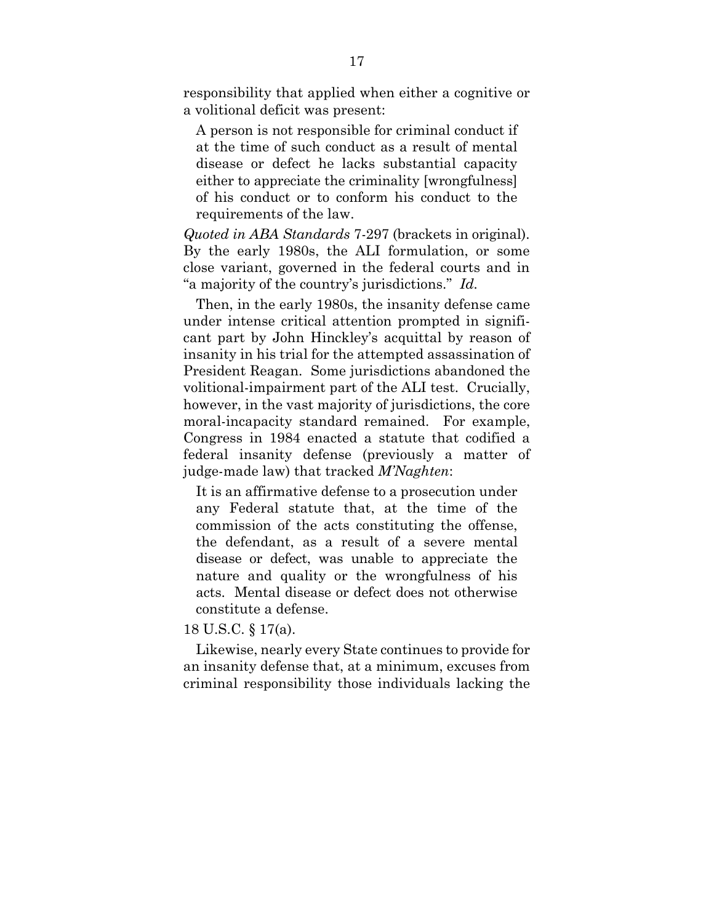responsibility that applied when either a cognitive or a volitional deficit was present:

A person is not responsible for criminal conduct if at the time of such conduct as a result of mental disease or defect he lacks substantial capacity either to appreciate the criminality [wrongfulness] of his conduct or to conform his conduct to the requirements of the law.

*Quoted in ABA Standards* 7-297 (brackets in original). By the early 1980s, the ALI formulation, or some close variant, governed in the federal courts and in "a majority of the country's jurisdictions." *Id.*

Then, in the early 1980s, the insanity defense came under intense critical attention prompted in significant part by John Hinckley's acquittal by reason of insanity in his trial for the attempted assassination of President Reagan. Some jurisdictions abandoned the volitional-impairment part of the ALI test. Crucially, however, in the vast majority of jurisdictions, the core moral-incapacity standard remained. For example, Congress in 1984 enacted a statute that codified a federal insanity defense (previously a matter of judge-made law) that tracked *M'Naghten*:

It is an affirmative defense to a prosecution under any Federal statute that, at the time of the commission of the acts constituting the offense, the defendant, as a result of a severe mental disease or defect, was unable to appreciate the nature and quality or the wrongfulness of his acts. Mental disease or defect does not otherwise constitute a defense.

18 U.S.C. § 17(a).

Likewise, nearly every State continues to provide for an insanity defense that, at a minimum, excuses from criminal responsibility those individuals lacking the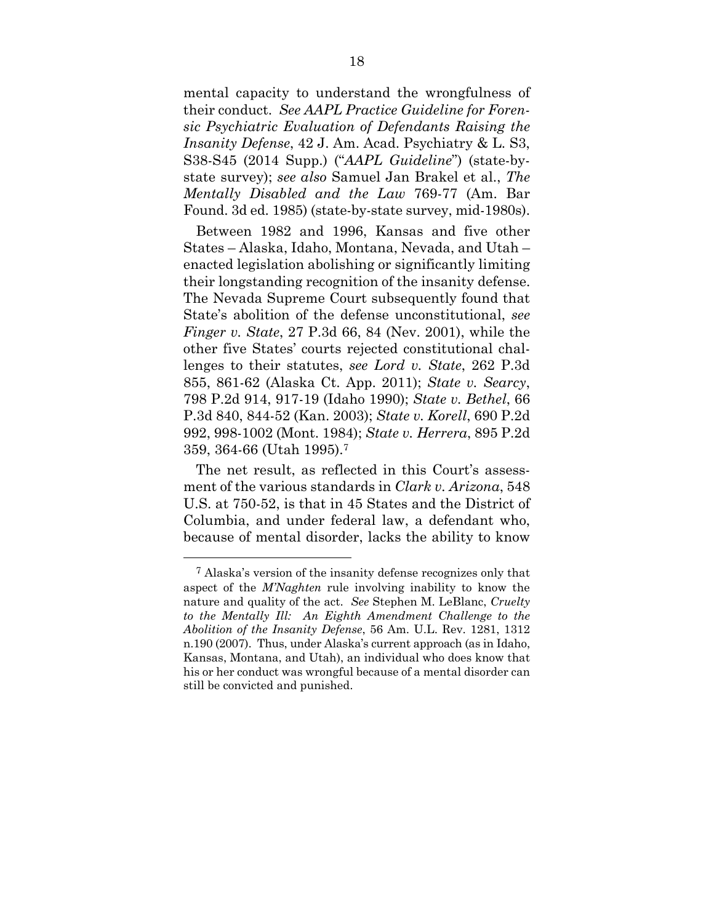mental capacity to understand the wrongfulness of their conduct. *See AAPL Practice Guideline for Forensic Psychiatric Evaluation of Defendants Raising the Insanity Defense*, 42 J. Am. Acad. Psychiatry & L. S3, S38-S45 (2014 Supp.) ("*AAPL Guideline*") (state-bystate survey); *see also* Samuel Jan Brakel et al., *The Mentally Disabled and the Law* 769-77 (Am. Bar Found. 3d ed. 1985) (state-by-state survey, mid-1980s).

Between 1982 and 1996, Kansas and five other States – Alaska, Idaho, Montana, Nevada, and Utah – enacted legislation abolishing or significantly limiting their longstanding recognition of the insanity defense. The Nevada Supreme Court subsequently found that State's abolition of the defense unconstitutional, *see Finger v. State*, 27 P.3d 66, 84 (Nev. 2001), while the other five States' courts rejected constitutional challenges to their statutes, *see Lord v. State*, 262 P.3d 855, 861-62 (Alaska Ct. App. 2011); *State v. Searcy*, 798 P.2d 914, 917-19 (Idaho 1990); *State v. Bethel*, 66 P.3d 840, 844-52 (Kan. 2003); *State v. Korell*, 690 P.2d 992, 998-1002 (Mont. 1984); *State v. Herrera*, 895 P.2d 359, 364-66 (Utah 1995).7

The net result, as reflected in this Court's assessment of the various standards in *Clark v. Arizona*, 548 U.S. at 750-52, is that in 45 States and the District of Columbia, and under federal law, a defendant who, because of mental disorder, lacks the ability to know

 $\overline{a}$ 

<sup>7</sup> Alaska's version of the insanity defense recognizes only that aspect of the *M'Naghten* rule involving inability to know the nature and quality of the act. *See* Stephen M. LeBlanc, *Cruelty to the Mentally Ill: An Eighth Amendment Challenge to the Abolition of the Insanity Defense*, 56 Am. U.L. Rev. 1281, 1312 n.190 (2007). Thus, under Alaska's current approach (as in Idaho, Kansas, Montana, and Utah), an individual who does know that his or her conduct was wrongful because of a mental disorder can still be convicted and punished.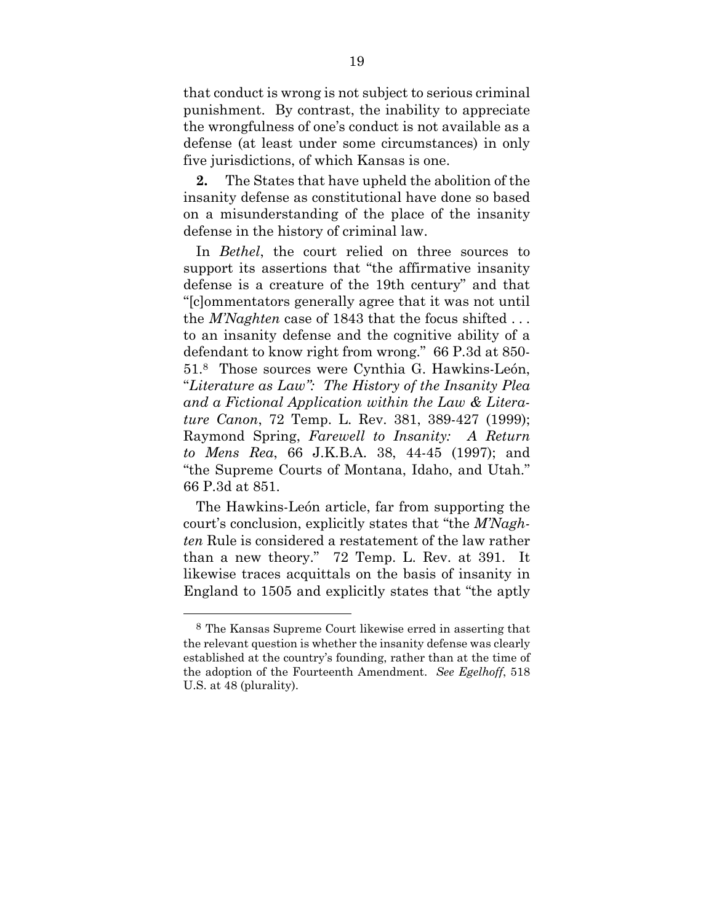that conduct is wrong is not subject to serious criminal punishment. By contrast, the inability to appreciate the wrongfulness of one's conduct is not available as a defense (at least under some circumstances) in only five jurisdictions, of which Kansas is one.

**2.** The States that have upheld the abolition of the insanity defense as constitutional have done so based on a misunderstanding of the place of the insanity defense in the history of criminal law.

In *Bethel*, the court relied on three sources to support its assertions that "the affirmative insanity defense is a creature of the 19th century" and that "[c]ommentators generally agree that it was not until the *M'Naghten* case of 1843 that the focus shifted . . . to an insanity defense and the cognitive ability of a defendant to know right from wrong." 66 P.3d at 850- 51.8 Those sources were Cynthia G. Hawkins-León, "*Literature as Law": The History of the Insanity Plea and a Fictional Application within the Law & Literature Canon*, 72 Temp. L. Rev. 381, 389-427 (1999); Raymond Spring, *Farewell to Insanity: A Return to Mens Rea*, 66 J.K.B.A. 38, 44-45 (1997); and "the Supreme Courts of Montana, Idaho, and Utah." 66 P.3d at 851.

The Hawkins-León article, far from supporting the court's conclusion, explicitly states that "the *M'Naghten* Rule is considered a restatement of the law rather than a new theory." 72 Temp. L. Rev. at 391. It likewise traces acquittals on the basis of insanity in England to 1505 and explicitly states that "the aptly

-

<sup>8</sup> The Kansas Supreme Court likewise erred in asserting that the relevant question is whether the insanity defense was clearly established at the country's founding, rather than at the time of the adoption of the Fourteenth Amendment. *See Egelhoff*, 518 U.S. at 48 (plurality).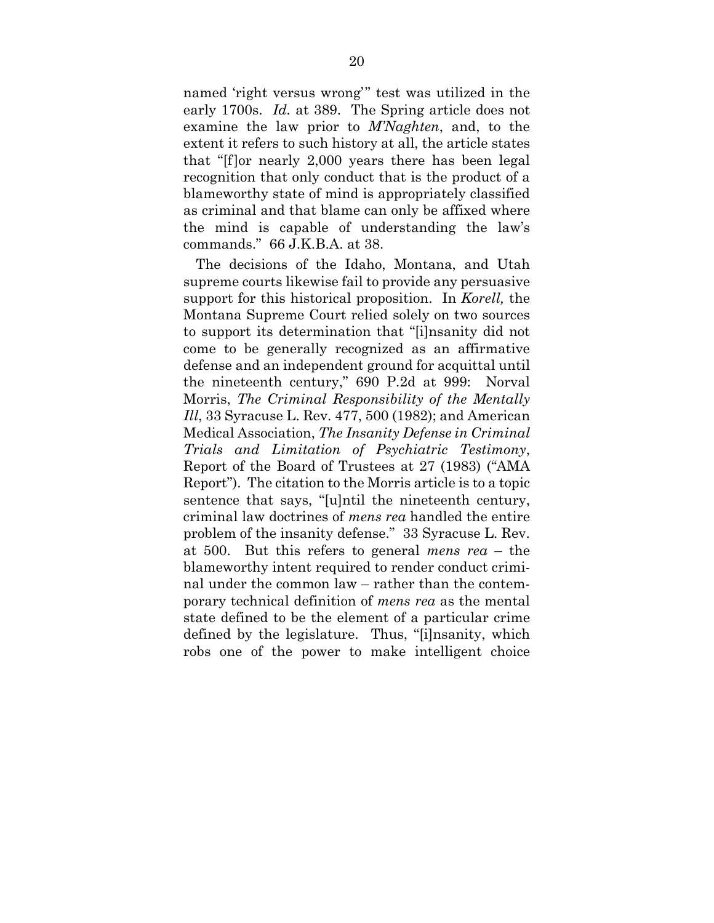named 'right versus wrong'" test was utilized in the early 1700s. *Id.* at 389. The Spring article does not examine the law prior to *M'Naghten*, and, to the extent it refers to such history at all, the article states that "[f]or nearly 2,000 years there has been legal recognition that only conduct that is the product of a blameworthy state of mind is appropriately classified as criminal and that blame can only be affixed where the mind is capable of understanding the law's commands." 66 J.K.B.A. at 38.

The decisions of the Idaho, Montana, and Utah supreme courts likewise fail to provide any persuasive support for this historical proposition. In *Korell,* the Montana Supreme Court relied solely on two sources to support its determination that "[i]nsanity did not come to be generally recognized as an affirmative defense and an independent ground for acquittal until the nineteenth century," 690 P.2d at 999: Norval Morris, *The Criminal Responsibility of the Mentally Ill*, 33 Syracuse L. Rev. 477, 500 (1982); and American Medical Association, *The Insanity Defense in Criminal Trials and Limitation of Psychiatric Testimony*, Report of the Board of Trustees at 27 (1983) ("AMA Report"). The citation to the Morris article is to a topic sentence that says, "[u]ntil the nineteenth century, criminal law doctrines of *mens rea* handled the entire problem of the insanity defense." 33 Syracuse L. Rev. at 500. But this refers to general *mens rea* – the blameworthy intent required to render conduct criminal under the common law – rather than the contemporary technical definition of *mens rea* as the mental state defined to be the element of a particular crime defined by the legislature. Thus, "[i]nsanity, which robs one of the power to make intelligent choice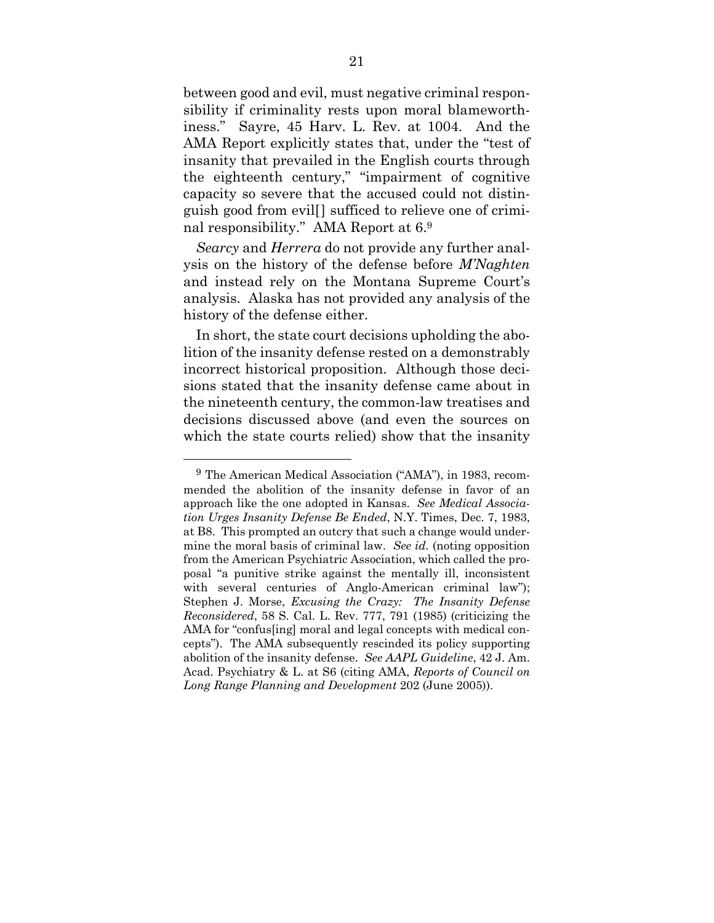between good and evil, must negative criminal responsibility if criminality rests upon moral blameworthiness." Sayre, 45 Harv. L. Rev. at 1004. And the AMA Report explicitly states that, under the "test of insanity that prevailed in the English courts through the eighteenth century," "impairment of cognitive capacity so severe that the accused could not distinguish good from evil[] sufficed to relieve one of criminal responsibility." AMA Report at 6.9

*Searcy* and *Herrera* do not provide any further analysis on the history of the defense before *M'Naghten* and instead rely on the Montana Supreme Court's analysis. Alaska has not provided any analysis of the history of the defense either.

In short, the state court decisions upholding the abolition of the insanity defense rested on a demonstrably incorrect historical proposition. Although those decisions stated that the insanity defense came about in the nineteenth century, the common-law treatises and decisions discussed above (and even the sources on which the state courts relied) show that the insanity

1

<sup>9</sup> The American Medical Association ("AMA"), in 1983, recommended the abolition of the insanity defense in favor of an approach like the one adopted in Kansas. *See Medical Association Urges Insanity Defense Be Ended*, N.Y. Times, Dec. 7, 1983, at B8. This prompted an outcry that such a change would undermine the moral basis of criminal law. *See id.* (noting opposition from the American Psychiatric Association, which called the proposal "a punitive strike against the mentally ill, inconsistent with several centuries of Anglo-American criminal law"); Stephen J. Morse, *Excusing the Crazy: The Insanity Defense Reconsidered*, 58 S. Cal. L. Rev. 777, 791 (1985) (criticizing the AMA for "confus[ing] moral and legal concepts with medical concepts"). The AMA subsequently rescinded its policy supporting abolition of the insanity defense. *See AAPL Guideline*, 42 J. Am. Acad. Psychiatry & L. at S6 (citing AMA, *Reports of Council on Long Range Planning and Development* 202 (June 2005)).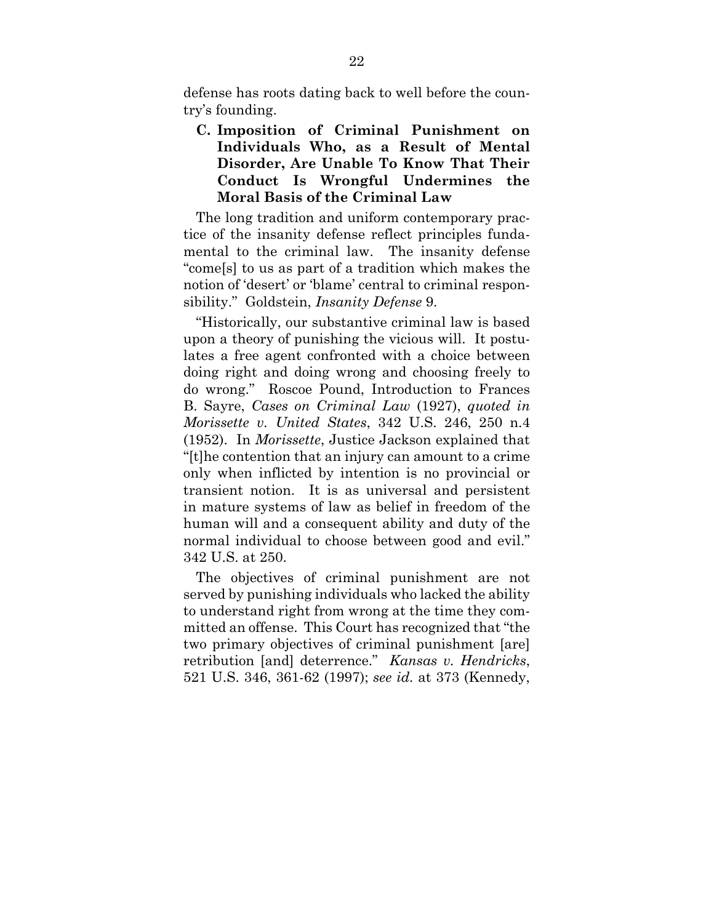defense has roots dating back to well before the country's founding.

## **C. Imposition of Criminal Punishment on Individuals Who, as a Result of Mental Disorder, Are Unable To Know That Their Conduct Is Wrongful Undermines the Moral Basis of the Criminal Law**

The long tradition and uniform contemporary practice of the insanity defense reflect principles fundamental to the criminal law. The insanity defense "come[s] to us as part of a tradition which makes the notion of 'desert' or 'blame' central to criminal responsibility." Goldstein, *Insanity Defense* 9.

"Historically, our substantive criminal law is based upon a theory of punishing the vicious will. It postulates a free agent confronted with a choice between doing right and doing wrong and choosing freely to do wrong." Roscoe Pound, Introduction to Frances B. Sayre, *Cases on Criminal Law* (1927), *quoted in Morissette v. United States*, 342 U.S. 246, 250 n.4 (1952). In *Morissette*, Justice Jackson explained that "[t]he contention that an injury can amount to a crime only when inflicted by intention is no provincial or transient notion. It is as universal and persistent in mature systems of law as belief in freedom of the human will and a consequent ability and duty of the normal individual to choose between good and evil." 342 U.S. at 250.

The objectives of criminal punishment are not served by punishing individuals who lacked the ability to understand right from wrong at the time they committed an offense. This Court has recognized that "the two primary objectives of criminal punishment [are] retribution [and] deterrence." *Kansas v. Hendricks*, 521 U.S. 346, 361-62 (1997); *see id.* at 373 (Kennedy,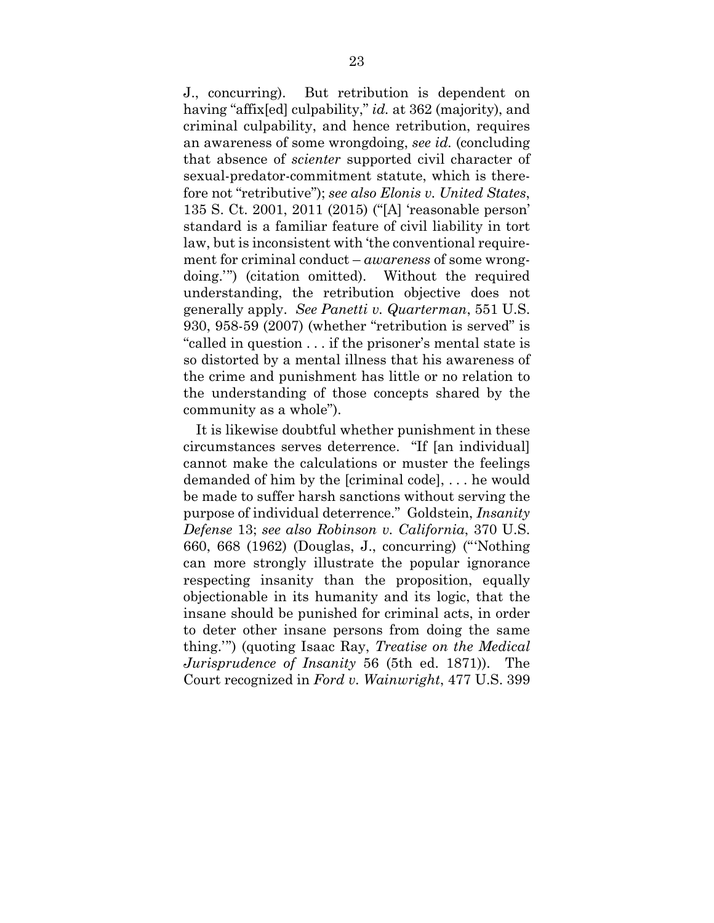J., concurring). But retribution is dependent on having "affix[ed] culpability," *id.* at 362 (majority), and criminal culpability, and hence retribution, requires an awareness of some wrongdoing, *see id.* (concluding that absence of *scienter* supported civil character of sexual-predator-commitment statute, which is therefore not "retributive"); *see also Elonis v. United States*, 135 S. Ct. 2001, 2011 (2015) ("[A] 'reasonable person' standard is a familiar feature of civil liability in tort law, but is inconsistent with 'the conventional requirement for criminal conduct – *awareness* of some wrongdoing.'") (citation omitted). Without the required understanding, the retribution objective does not generally apply. *See Panetti v. Quarterman*, 551 U.S. 930, 958-59 (2007) (whether "retribution is served" is "called in question . . . if the prisoner's mental state is so distorted by a mental illness that his awareness of the crime and punishment has little or no relation to the understanding of those concepts shared by the community as a whole").

It is likewise doubtful whether punishment in these circumstances serves deterrence. "If [an individual] cannot make the calculations or muster the feelings demanded of him by the [criminal code], . . . he would be made to suffer harsh sanctions without serving the purpose of individual deterrence." Goldstein, *Insanity Defense* 13; *see also Robinson v. California*, 370 U.S. 660, 668 (1962) (Douglas, J., concurring) ("'Nothing can more strongly illustrate the popular ignorance respecting insanity than the proposition, equally objectionable in its humanity and its logic, that the insane should be punished for criminal acts, in order to deter other insane persons from doing the same thing.'") (quoting Isaac Ray, *Treatise on the Medical Jurisprudence of Insanity* 56 (5th ed. 1871)). The Court recognized in *Ford v. Wainwright*, 477 U.S. 399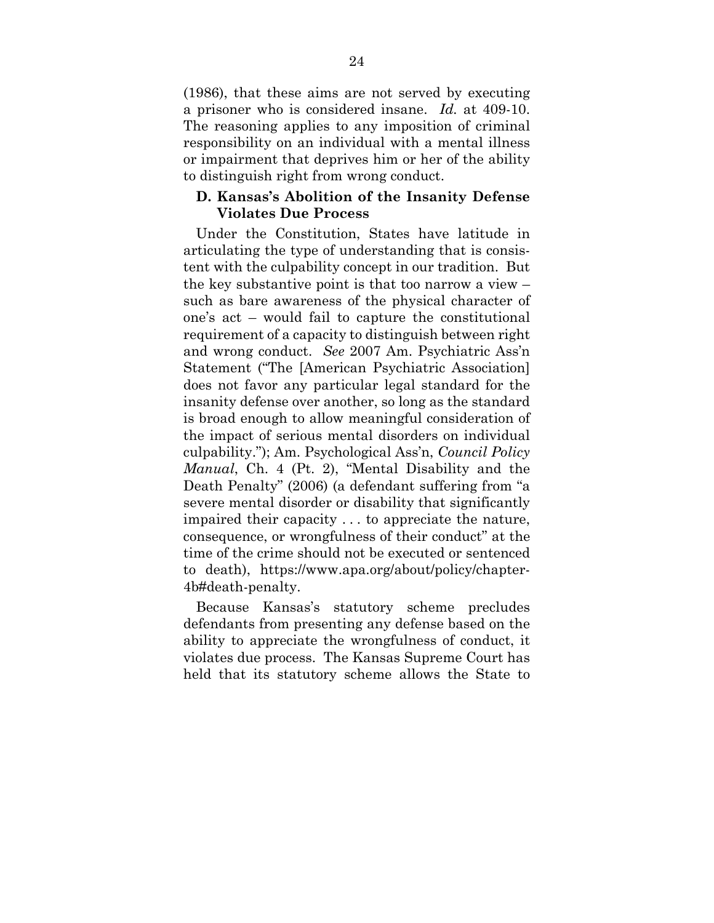(1986), that these aims are not served by executing a prisoner who is considered insane. *Id.* at 409-10. The reasoning applies to any imposition of criminal responsibility on an individual with a mental illness or impairment that deprives him or her of the ability to distinguish right from wrong conduct.

### **D. Kansas's Abolition of the Insanity Defense Violates Due Process**

Under the Constitution, States have latitude in articulating the type of understanding that is consistent with the culpability concept in our tradition. But the key substantive point is that too narrow a view – such as bare awareness of the physical character of one's act – would fail to capture the constitutional requirement of a capacity to distinguish between right and wrong conduct. *See* 2007 Am. Psychiatric Ass'n Statement ("The [American Psychiatric Association] does not favor any particular legal standard for the insanity defense over another, so long as the standard is broad enough to allow meaningful consideration of the impact of serious mental disorders on individual culpability."); Am. Psychological Ass'n, *Council Policy Manual*, Ch. 4 (Pt. 2), "Mental Disability and the Death Penalty" (2006) (a defendant suffering from "a severe mental disorder or disability that significantly impaired their capacity . . . to appreciate the nature, consequence, or wrongfulness of their conduct" at the time of the crime should not be executed or sentenced to death), https://www.apa.org/about/policy/chapter-4b#death-penalty.

Because Kansas's statutory scheme precludes defendants from presenting any defense based on the ability to appreciate the wrongfulness of conduct, it violates due process. The Kansas Supreme Court has held that its statutory scheme allows the State to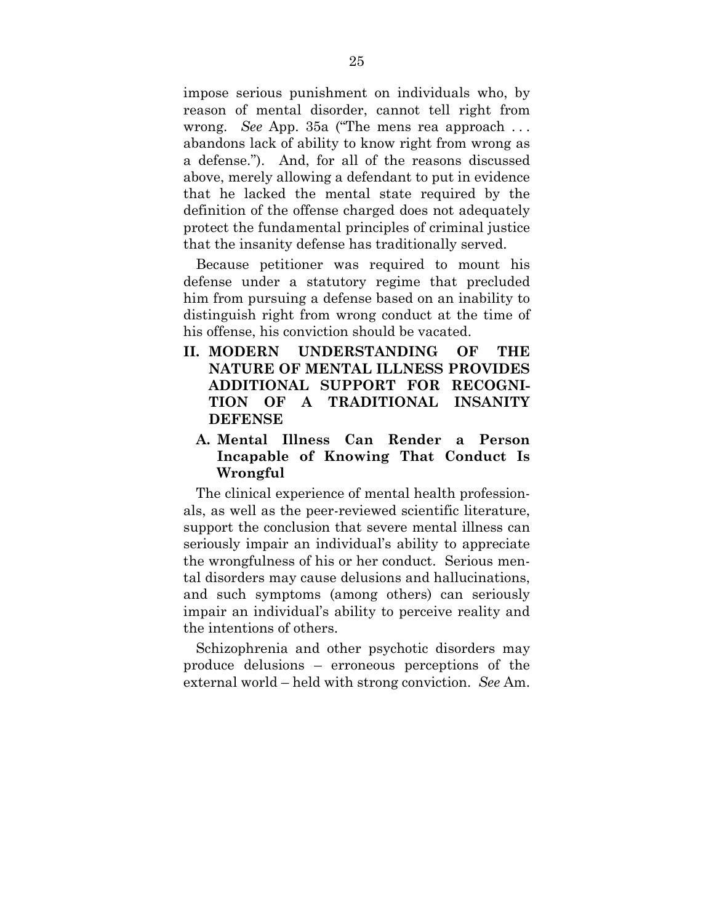impose serious punishment on individuals who, by reason of mental disorder, cannot tell right from wrong. *See* App. 35a ("The mens rea approach . . . abandons lack of ability to know right from wrong as a defense."). And, for all of the reasons discussed above, merely allowing a defendant to put in evidence that he lacked the mental state required by the definition of the offense charged does not adequately protect the fundamental principles of criminal justice that the insanity defense has traditionally served.

Because petitioner was required to mount his defense under a statutory regime that precluded him from pursuing a defense based on an inability to distinguish right from wrong conduct at the time of his offense, his conviction should be vacated.

**II. MODERN UNDERSTANDING OF THE NATURE OF MENTAL ILLNESS PROVIDES ADDITIONAL SUPPORT FOR RECOGNI-TION OF A TRADITIONAL INSANITY DEFENSE** 

## **A. Mental Illness Can Render a Person Incapable of Knowing That Conduct Is Wrongful**

The clinical experience of mental health professionals, as well as the peer-reviewed scientific literature, support the conclusion that severe mental illness can seriously impair an individual's ability to appreciate the wrongfulness of his or her conduct. Serious mental disorders may cause delusions and hallucinations, and such symptoms (among others) can seriously impair an individual's ability to perceive reality and the intentions of others.

Schizophrenia and other psychotic disorders may produce delusions – erroneous perceptions of the external world – held with strong conviction. *See* Am.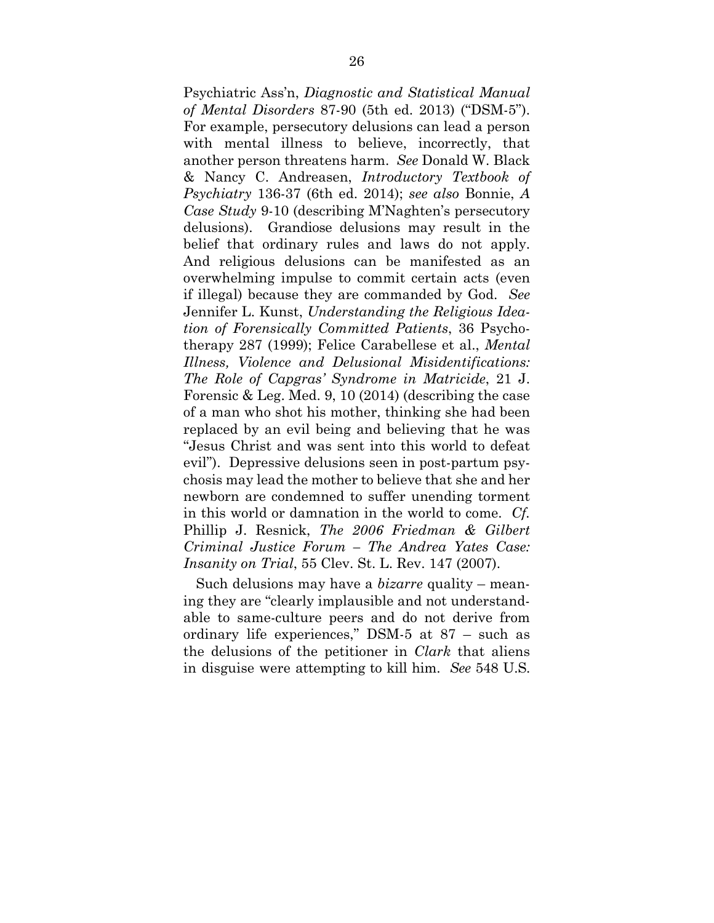Psychiatric Ass'n, *Diagnostic and Statistical Manual of Mental Disorders* 87-90 (5th ed. 2013) ("DSM-5"). For example, persecutory delusions can lead a person with mental illness to believe, incorrectly, that another person threatens harm. *See* Donald W. Black & Nancy C. Andreasen, *Introductory Textbook of Psychiatry* 136-37 (6th ed. 2014); *see also* Bonnie, *A Case Study* 9-10 (describing M'Naghten's persecutory delusions). Grandiose delusions may result in the belief that ordinary rules and laws do not apply. And religious delusions can be manifested as an overwhelming impulse to commit certain acts (even if illegal) because they are commanded by God. *See* Jennifer L. Kunst, *Understanding the Religious Ideation of Forensically Committed Patients*, 36 Psychotherapy 287 (1999); Felice Carabellese et al., *Mental Illness, Violence and Delusional Misidentifications: The Role of Capgras' Syndrome in Matricide*, 21 J. Forensic & Leg. Med. 9, 10 (2014) (describing the case of a man who shot his mother, thinking she had been replaced by an evil being and believing that he was "Jesus Christ and was sent into this world to defeat evil"). Depressive delusions seen in post-partum psychosis may lead the mother to believe that she and her newborn are condemned to suffer unending torment in this world or damnation in the world to come. *Cf.*  Phillip J. Resnick, *The 2006 Friedman & Gilbert Criminal Justice Forum – The Andrea Yates Case: Insanity on Trial*, 55 Clev. St. L. Rev. 147 (2007).

Such delusions may have a *bizarre* quality – meaning they are "clearly implausible and not understandable to same-culture peers and do not derive from ordinary life experiences," DSM-5 at 87 – such as the delusions of the petitioner in *Clark* that aliens in disguise were attempting to kill him. *See* 548 U.S.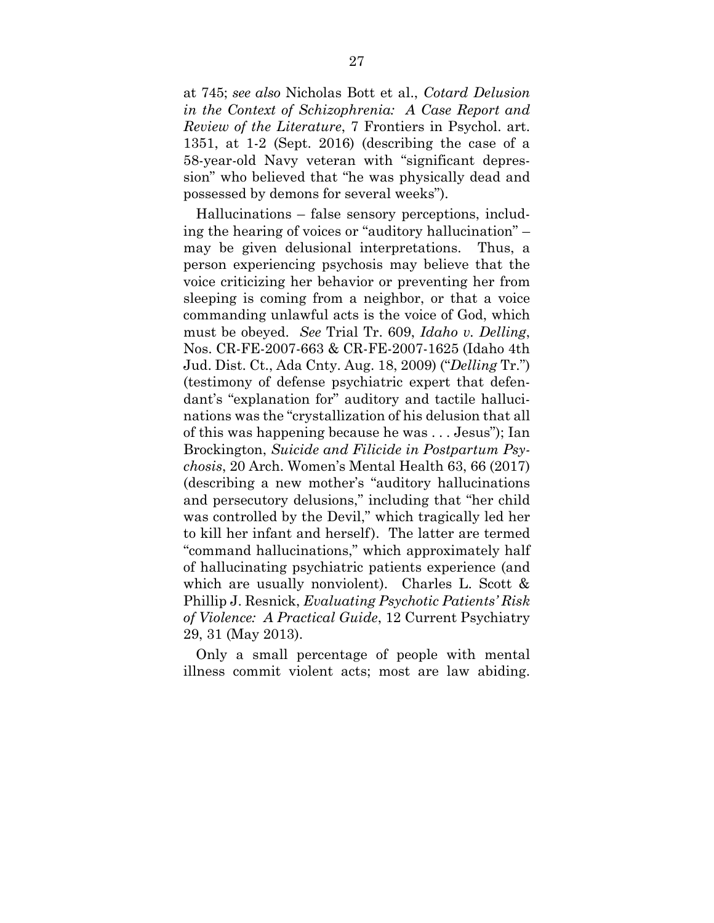at 745; *see also* Nicholas Bott et al., *Cotard Delusion in the Context of Schizophrenia: A Case Report and Review of the Literature*, 7 Frontiers in Psychol. art. 1351, at 1-2 (Sept. 2016) (describing the case of a 58-year-old Navy veteran with "significant depression" who believed that "he was physically dead and possessed by demons for several weeks").

Hallucinations – false sensory perceptions, including the hearing of voices or "auditory hallucination" – may be given delusional interpretations. Thus, a person experiencing psychosis may believe that the voice criticizing her behavior or preventing her from sleeping is coming from a neighbor, or that a voice commanding unlawful acts is the voice of God, which must be obeyed. *See* Trial Tr. 609, *Idaho v. Delling*, Nos. CR-FE-2007-663 & CR-FE-2007-1625 (Idaho 4th Jud. Dist. Ct., Ada Cnty. Aug. 18, 2009) ("*Delling* Tr.") (testimony of defense psychiatric expert that defendant's "explanation for" auditory and tactile hallucinations was the "crystallization of his delusion that all of this was happening because he was . . . Jesus"); Ian Brockington, *Suicide and Filicide in Postpartum Psychosis*, 20 Arch. Women's Mental Health 63, 66 (2017) (describing a new mother's "auditory hallucinations and persecutory delusions," including that "her child was controlled by the Devil," which tragically led her to kill her infant and herself). The latter are termed "command hallucinations," which approximately half of hallucinating psychiatric patients experience (and which are usually nonviolent). Charles L. Scott & Phillip J. Resnick, *Evaluating Psychotic Patients' Risk of Violence: A Practical Guide*, 12 Current Psychiatry 29, 31 (May 2013).

Only a small percentage of people with mental illness commit violent acts; most are law abiding.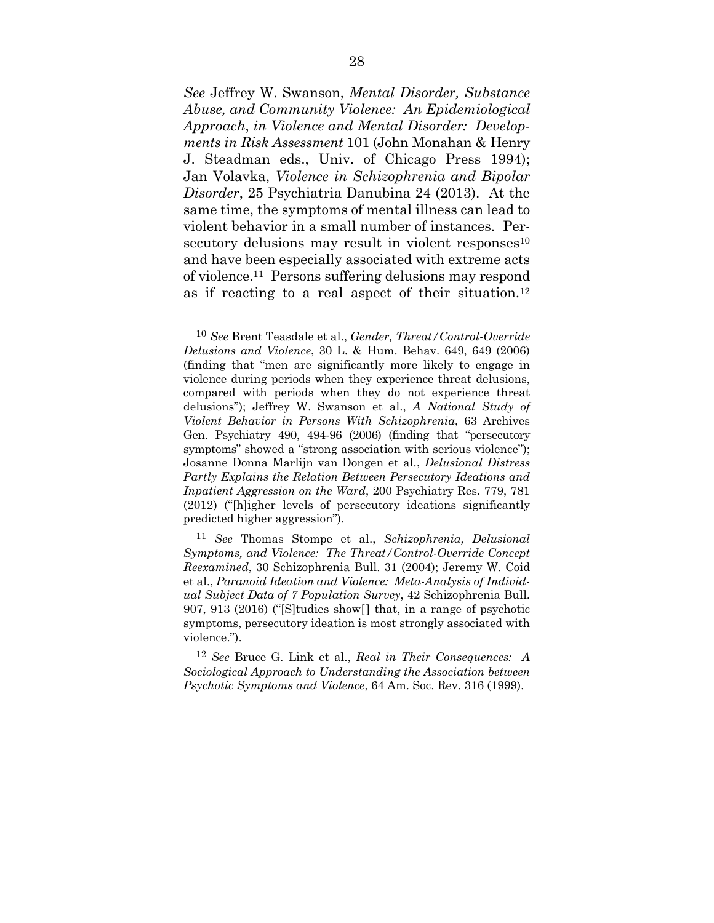*See* Jeffrey W. Swanson, *Mental Disorder, Substance Abuse, and Community Violence: An Epidemiological Approach*, *in Violence and Mental Disorder: Developments in Risk Assessment* 101 (John Monahan & Henry J. Steadman eds., Univ. of Chicago Press 1994); Jan Volavka, *Violence in Schizophrenia and Bipolar Disorder*, 25 Psychiatria Danubina 24 (2013). At the same time, the symptoms of mental illness can lead to violent behavior in a small number of instances. Persecutory delusions may result in violent responses $10$ and have been especially associated with extreme acts of violence.11 Persons suffering delusions may respond as if reacting to a real aspect of their situation.12

-

<sup>10</sup> *See* Brent Teasdale et al., *Gender, Threat/Control-Override Delusions and Violence*, 30 L. & Hum. Behav. 649, 649 (2006) (finding that "men are significantly more likely to engage in violence during periods when they experience threat delusions, compared with periods when they do not experience threat delusions"); Jeffrey W. Swanson et al., *A National Study of Violent Behavior in Persons With Schizophrenia*, 63 Archives Gen. Psychiatry 490, 494-96 (2006) (finding that "persecutory symptoms" showed a "strong association with serious violence"); Josanne Donna Marlijn van Dongen et al., *Delusional Distress Partly Explains the Relation Between Persecutory Ideations and Inpatient Aggression on the Ward*, 200 Psychiatry Res. 779, 781 (2012) ("[h]igher levels of persecutory ideations significantly predicted higher aggression").

<sup>11</sup> *See* Thomas Stompe et al., *Schizophrenia, Delusional Symptoms, and Violence: The Threat/Control-Override Concept Reexamined*, 30 Schizophrenia Bull. 31 (2004); Jeremy W. Coid et al., *Paranoid Ideation and Violence: Meta-Analysis of Individual Subject Data of 7 Population Survey*, 42 Schizophrenia Bull. 907, 913 (2016) ("[S]tudies show[] that, in a range of psychotic symptoms, persecutory ideation is most strongly associated with violence.").

<sup>12</sup> *See* Bruce G. Link et al., *Real in Their Consequences: A Sociological Approach to Understanding the Association between Psychotic Symptoms and Violence*, 64 Am. Soc. Rev. 316 (1999).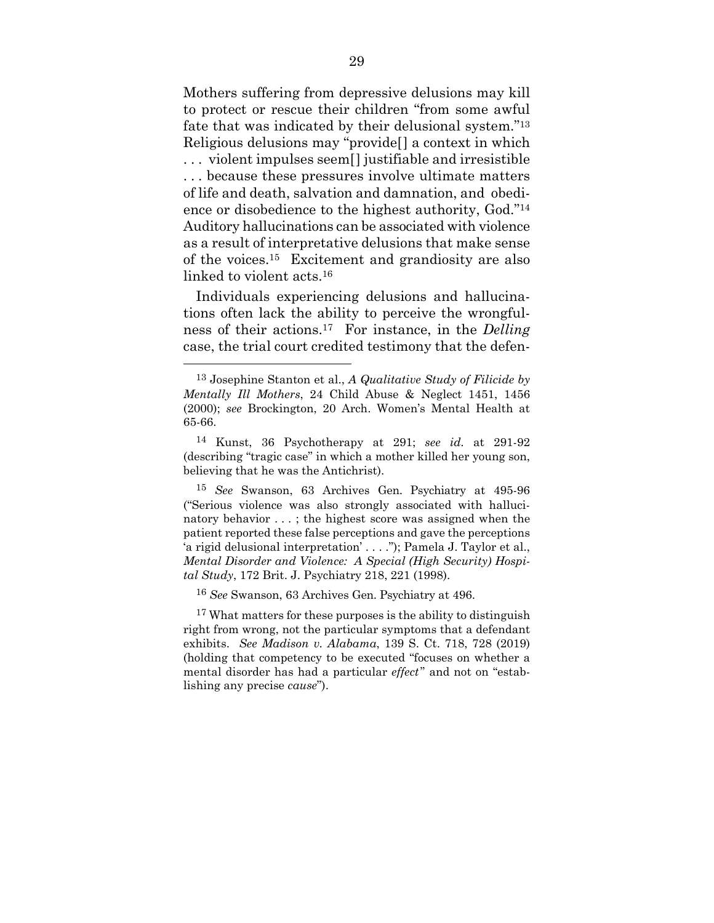Mothers suffering from depressive delusions may kill to protect or rescue their children "from some awful fate that was indicated by their delusional system."13 Religious delusions may "provide[] a context in which . . . violent impulses seem[] justifiable and irresistible . . . because these pressures involve ultimate matters of life and death, salvation and damnation, and obedience or disobedience to the highest authority, God."14 Auditory hallucinations can be associated with violence as a result of interpretative delusions that make sense of the voices.15 Excitement and grandiosity are also linked to violent acts.16

Individuals experiencing delusions and hallucinations often lack the ability to perceive the wrongfulness of their actions.17 For instance, in the *Delling* case, the trial court credited testimony that the defen-

1

16 *See* Swanson, 63 Archives Gen. Psychiatry at 496.

<sup>17</sup> What matters for these purposes is the ability to distinguish right from wrong, not the particular symptoms that a defendant exhibits. *See Madison v. Alabama*, 139 S. Ct. 718, 728 (2019) (holding that competency to be executed "focuses on whether a mental disorder has had a particular *effect*" and not on "establishing any precise *cause*").

<sup>13</sup> Josephine Stanton et al., *A Qualitative Study of Filicide by Mentally Ill Mothers*, 24 Child Abuse & Neglect 1451, 1456 (2000); *see* Brockington, 20 Arch. Women's Mental Health at 65-66.

<sup>14</sup> Kunst, 36 Psychotherapy at 291; *see id.* at 291-92 (describing "tragic case" in which a mother killed her young son, believing that he was the Antichrist).

<sup>15</sup> *See* Swanson, 63 Archives Gen. Psychiatry at 495-96 ("Serious violence was also strongly associated with hallucinatory behavior . . . ; the highest score was assigned when the patient reported these false perceptions and gave the perceptions 'a rigid delusional interpretation' . . . ."); Pamela J. Taylor et al., *Mental Disorder and Violence: A Special (High Security) Hospital Study*, 172 Brit. J. Psychiatry 218, 221 (1998).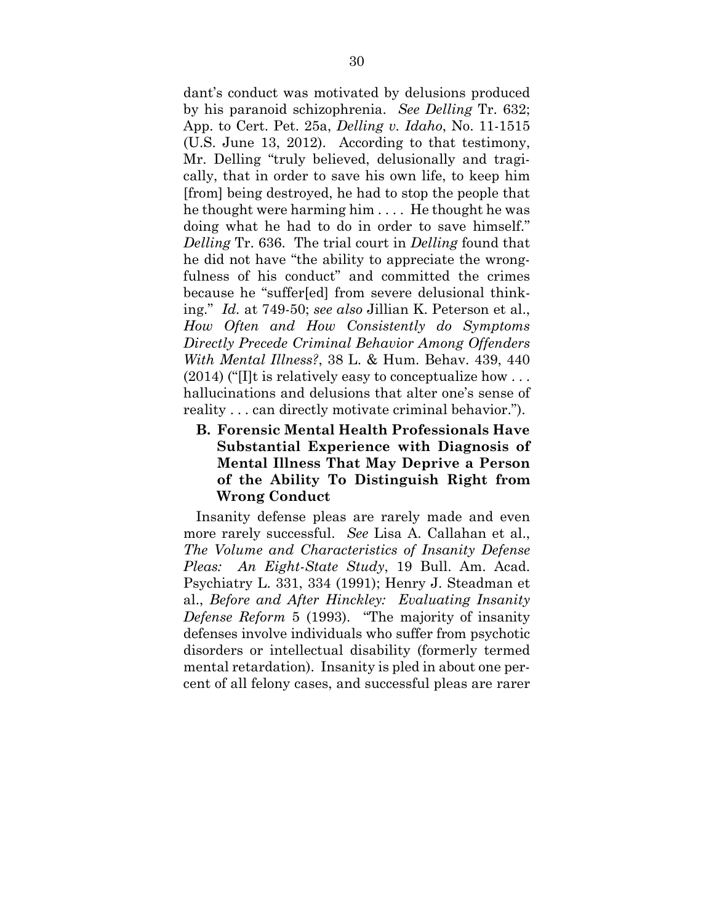dant's conduct was motivated by delusions produced by his paranoid schizophrenia. *See Delling* Tr. 632; App. to Cert. Pet. 25a, *Delling v. Idaho*, No. 11-1515 (U.S. June 13, 2012). According to that testimony, Mr. Delling "truly believed, delusionally and tragically, that in order to save his own life, to keep him [from] being destroyed, he had to stop the people that he thought were harming him . . . . He thought he was doing what he had to do in order to save himself." *Delling* Tr. 636. The trial court in *Delling* found that he did not have "the ability to appreciate the wrongfulness of his conduct" and committed the crimes because he "suffer[ed] from severe delusional thinking." *Id.* at 749-50; *see also* Jillian K. Peterson et al., *How Often and How Consistently do Symptoms Directly Precede Criminal Behavior Among Offenders With Mental Illness?*, 38 L. & Hum. Behav. 439, 440  $(2014)$  ("I]t is relatively easy to conceptualize how ... hallucinations and delusions that alter one's sense of reality . . . can directly motivate criminal behavior.").

**B. Forensic Mental Health Professionals Have Substantial Experience with Diagnosis of Mental Illness That May Deprive a Person of the Ability To Distinguish Right from Wrong Conduct** 

Insanity defense pleas are rarely made and even more rarely successful. *See* Lisa A. Callahan et al., *The Volume and Characteristics of Insanity Defense Pleas: An Eight-State Study*, 19 Bull. Am. Acad. Psychiatry L. 331, 334 (1991); Henry J. Steadman et al., *Before and After Hinckley: Evaluating Insanity Defense Reform* 5 (1993). "The majority of insanity defenses involve individuals who suffer from psychotic disorders or intellectual disability (formerly termed mental retardation). Insanity is pled in about one percent of all felony cases, and successful pleas are rarer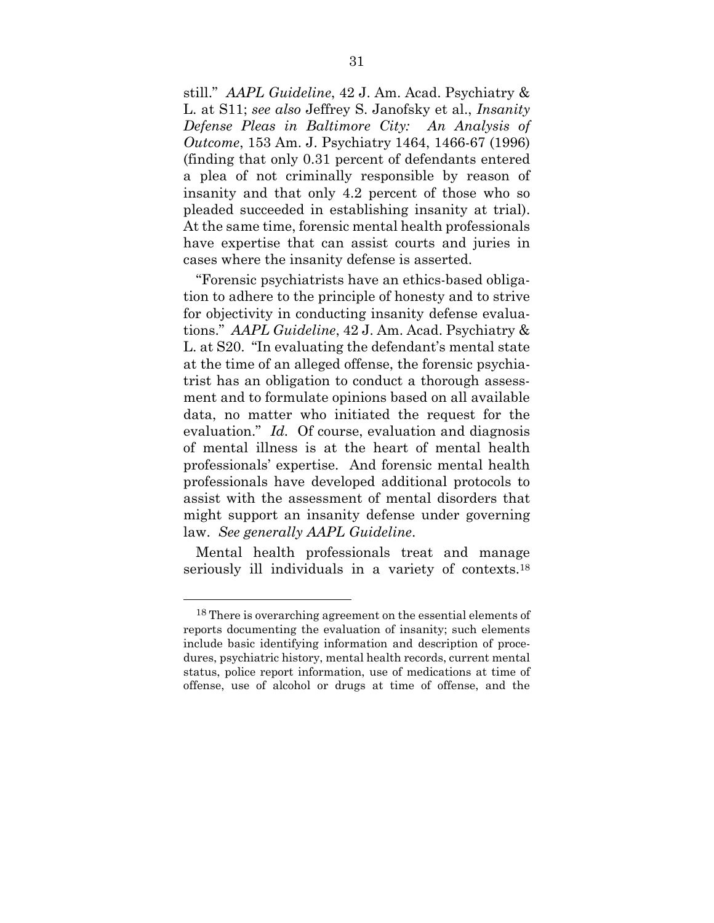still." *AAPL Guideline*, 42 J. Am. Acad. Psychiatry & L. at S11; *see also* Jeffrey S. Janofsky et al., *Insanity Defense Pleas in Baltimore City: An Analysis of Outcome*, 153 Am. J. Psychiatry 1464, 1466-67 (1996) (finding that only 0.31 percent of defendants entered a plea of not criminally responsible by reason of insanity and that only 4.2 percent of those who so pleaded succeeded in establishing insanity at trial). At the same time, forensic mental health professionals have expertise that can assist courts and juries in cases where the insanity defense is asserted.

"Forensic psychiatrists have an ethics-based obligation to adhere to the principle of honesty and to strive for objectivity in conducting insanity defense evaluations." *AAPL Guideline*, 42 J. Am. Acad. Psychiatry & L. at S20. "In evaluating the defendant's mental state at the time of an alleged offense, the forensic psychiatrist has an obligation to conduct a thorough assessment and to formulate opinions based on all available data, no matter who initiated the request for the evaluation." *Id.* Of course, evaluation and diagnosis of mental illness is at the heart of mental health professionals' expertise. And forensic mental health professionals have developed additional protocols to assist with the assessment of mental disorders that might support an insanity defense under governing law. *See generally AAPL Guideline*.

Mental health professionals treat and manage seriously ill individuals in a variety of contexts.<sup>18</sup>

 $\overline{a}$ 

<sup>18</sup> There is overarching agreement on the essential elements of reports documenting the evaluation of insanity; such elements include basic identifying information and description of procedures, psychiatric history, mental health records, current mental status, police report information, use of medications at time of offense, use of alcohol or drugs at time of offense, and the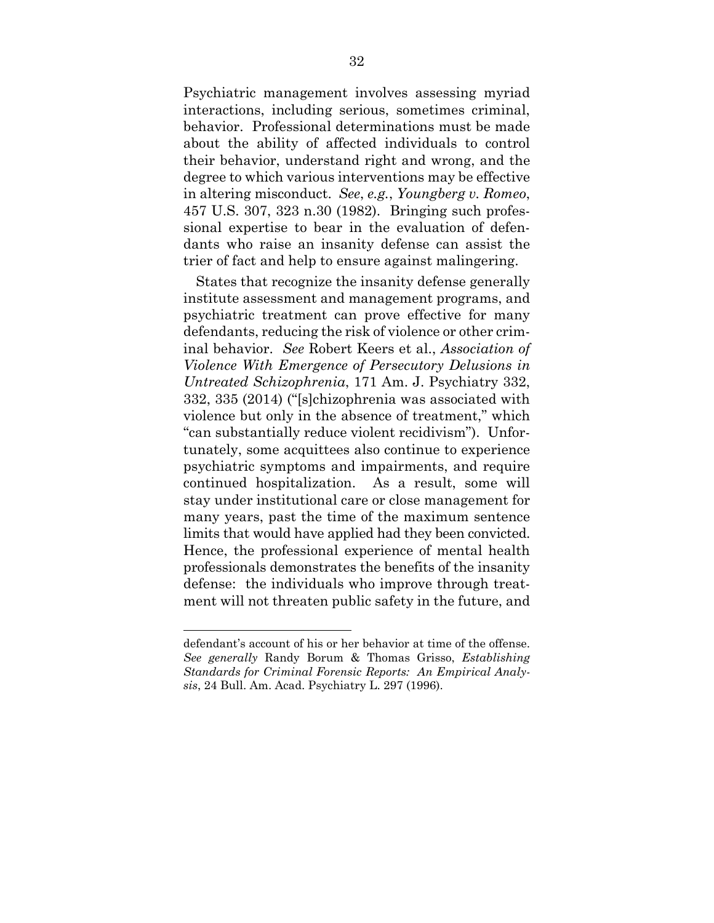Psychiatric management involves assessing myriad interactions, including serious, sometimes criminal, behavior. Professional determinations must be made about the ability of affected individuals to control their behavior, understand right and wrong, and the degree to which various interventions may be effective in altering misconduct. *See*, *e.g.*, *Youngberg v. Romeo*, 457 U.S. 307, 323 n.30 (1982). Bringing such professional expertise to bear in the evaluation of defendants who raise an insanity defense can assist the trier of fact and help to ensure against malingering.

States that recognize the insanity defense generally institute assessment and management programs, and psychiatric treatment can prove effective for many defendants, reducing the risk of violence or other criminal behavior. *See* Robert Keers et al., *Association of Violence With Emergence of Persecutory Delusions in Untreated Schizophrenia*, 171 Am. J. Psychiatry 332, 332, 335 (2014) ("[s]chizophrenia was associated with violence but only in the absence of treatment," which "can substantially reduce violent recidivism"). Unfortunately, some acquittees also continue to experience psychiatric symptoms and impairments, and require continued hospitalization. As a result, some will stay under institutional care or close management for many years, past the time of the maximum sentence limits that would have applied had they been convicted. Hence, the professional experience of mental health professionals demonstrates the benefits of the insanity defense: the individuals who improve through treatment will not threaten public safety in the future, and

1

defendant's account of his or her behavior at time of the offense. *See generally* Randy Borum & Thomas Grisso, *Establishing Standards for Criminal Forensic Reports: An Empirical Analysis*, 24 Bull. Am. Acad. Psychiatry L. 297 (1996).